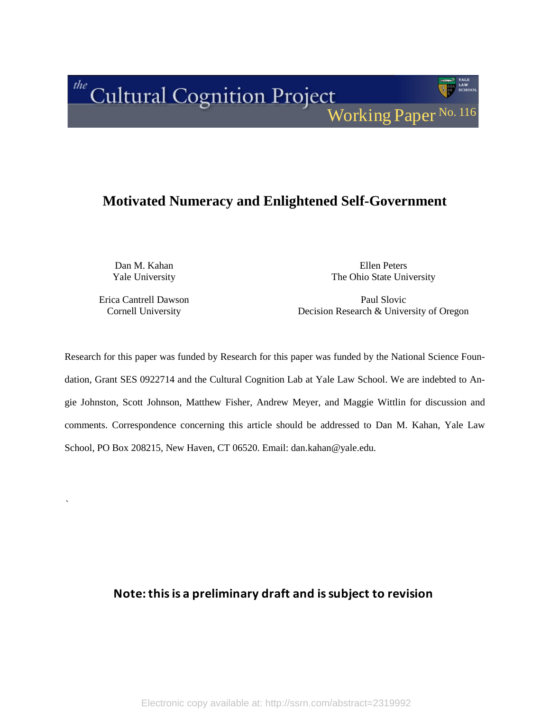

# **Motivated Numeracy and Enlightened Self-Government**

Dan M. Kahan Yale University

Erica Cantrell Dawson Cornell University

<span id="page-0-0"></span>*`*

Ellen Peters The Ohio State University

Paul Slovic Decision Research & University of Oregon

Research for this paper was funded by Research for this paper was funded by the National Science Foundation, Grant SES 0922714 and the Cultural Cognition Lab at Yale Law School. We are indebted to Angie Johnston, Scott Johnson, Matthew Fisher, Andrew Meyer, and Maggie Wittlin for discussion and comments. Correspondence concerning this article should be addressed to Dan M. Kahan, Yale Law School, PO Box 208215, New Haven, CT 06520. Email: dan.kahan@yale.edu.

# **Note: this is a preliminary draft and is subject to revision.**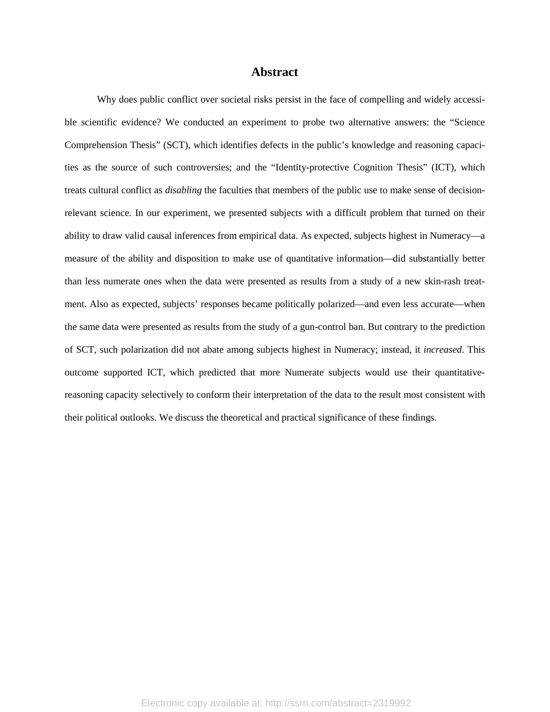## **Abstract**

Why does public conflict over societal risks persist in the face of compelling and widely accessible scientific evidence? We conducted an experiment to probe two alternative answers: the "Science Comprehension Thesis" (SCT), which identifies defects in the public's knowledge and reasoning capacities as the source of such controversies; and the "Identity-protective Cognition Thesis" (ICT), which treats cultural conflict as *disabling* the faculties that members of the public use to make sense of decisionrelevant science. In our experiment, we presented subjects with a difficult problem that turned on their ability to draw valid causal inferences from empirical data. As expected, subjects highest in Numeracy—a measure of the ability and disposition to make use of quantitative information—did substantially better than less numerate ones when the data were presented as results from a study of a new skin-rash treatment. Also as expected, subjects' responses became politically polarized—and even less accurate—when the same data were presented as results from the study of a gun-control ban. But contrary to the prediction of SCT, such polarization did not abate among subjects highest in Numeracy; instead, it *increased*. This outcome supported ICT, which predicted that more Numerate subjects would use their quantitativereasoning capacity selectively to conform their interpretation of the data to the result most consistent with their political outlooks. We discuss the theoretical and practical significance of these findings.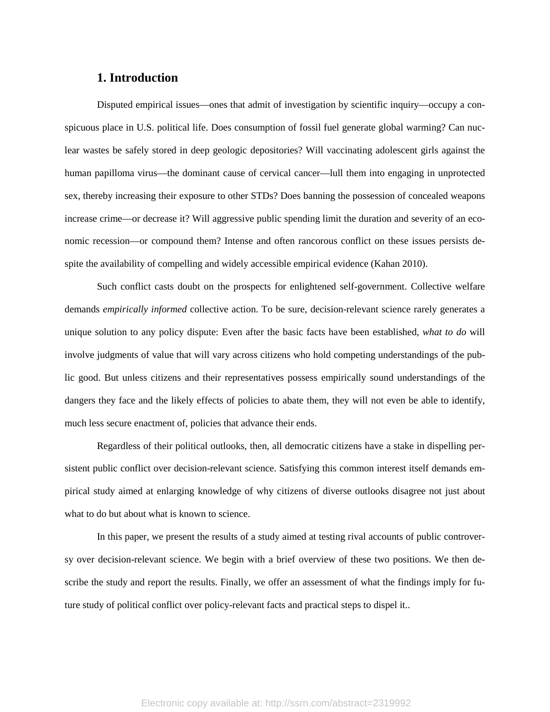# **1. Introduction**

Disputed empirical issues—ones that admit of investigation by scientific inquiry—occupy a conspicuous place in U.S. political life. Does consumption of fossil fuel generate global warming? Can nuclear wastes be safely stored in deep geologic depositories? Will vaccinating adolescent girls against the human papilloma virus—the dominant cause of cervical cancer—lull them into engaging in unprotected sex, thereby increasing their exposure to other STDs? Does banning the possession of concealed weapons increase crime—or decrease it? Will aggressive public spending limit the duration and severity of an economic recession—or compound them? Intense and often rancorous conflict on these issues persists despite the availability of compelling and widely accessible empirical evidence (Kahan 2010).

Such conflict casts doubt on the prospects for enlightened self-government. Collective welfare demands *empirically informed* collective action. To be sure, decision-relevant science rarely generates a unique solution to any policy dispute: Even after the basic facts have been established, *what to do* will involve judgments of value that will vary across citizens who hold competing understandings of the public good. But unless citizens and their representatives possess empirically sound understandings of the dangers they face and the likely effects of policies to abate them, they will not even be able to identify, much less secure enactment of, policies that advance their ends.

Regardless of their political outlooks, then, all democratic citizens have a stake in dispelling persistent public conflict over decision-relevant science. Satisfying this common interest itself demands empirical study aimed at enlarging knowledge of why citizens of diverse outlooks disagree not just about what to do but about what is known to science.

In this paper, we present the results of a study aimed at testing rival accounts of public controversy over decision-relevant science. We begin with a brief overview of these two positions. We then describe the study and report the results. Finally, we offer an assessment of what the findings imply for future study of political conflict over policy-relevant facts and practical steps to dispel it..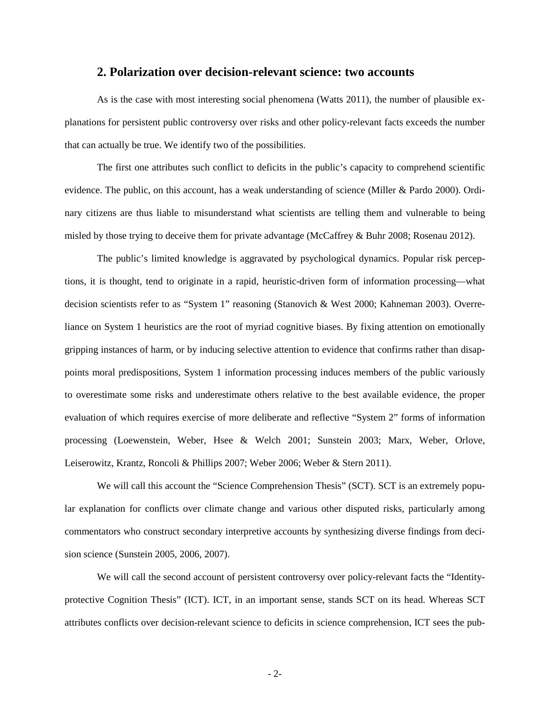## **2. Polarization over decision-relevant science: two accounts**

As is the case with most interesting social phenomena (Watts 2011), the number of plausible explanations for persistent public controversy over risks and other policy-relevant facts exceeds the number that can actually be true. We identify two of the possibilities.

The first one attributes such conflict to deficits in the public's capacity to comprehend scientific evidence. The public, on this account, has a weak understanding of science (Miller & Pardo 2000). Ordinary citizens are thus liable to misunderstand what scientists are telling them and vulnerable to being misled by those trying to deceive them for private advantage (McCaffrey & Buhr 2008; Rosenau 2012).

The public's limited knowledge is aggravated by psychological dynamics. Popular risk perceptions, it is thought, tend to originate in a rapid, heuristic-driven form of information processing—what decision scientists refer to as "System 1" reasoning (Stanovich & West 2000; Kahneman 2003). Overreliance on System 1 heuristics are the root of myriad cognitive biases. By fixing attention on emotionally gripping instances of harm, or by inducing selective attention to evidence that confirms rather than disappoints moral predispositions, System 1 information processing induces members of the public variously to overestimate some risks and underestimate others relative to the best available evidence, the proper evaluation of which requires exercise of more deliberate and reflective "System 2" forms of information processing (Loewenstein, Weber, Hsee & Welch 2001; Sunstein 2003; Marx, Weber, Orlove, Leiserowitz, Krantz, Roncoli & Phillips 2007; Weber 2006; Weber & Stern 2011).

We will call this account the "Science Comprehension Thesis" (SCT). SCT is an extremely popular explanation for conflicts over climate change and various other disputed risks, particularly among commentators who construct secondary interpretive accounts by synthesizing diverse findings from decision science (Sunstein 2005, 2006, 2007).

We will call the second account of persistent controversy over policy-relevant facts the "Identityprotective Cognition Thesis" (ICT). ICT, in an important sense, stands SCT on its head. Whereas SCT attributes conflicts over decision-relevant science to deficits in science comprehension, ICT sees the pub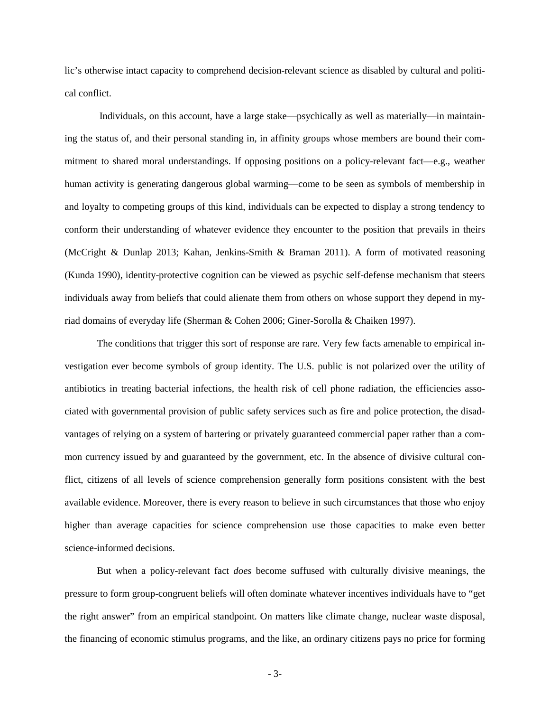lic's otherwise intact capacity to comprehend decision-relevant science as disabled by cultural and political conflict.

Individuals, on this account, have a large stake—psychically as well as materially—in maintaining the status of, and their personal standing in, in affinity groups whose members are bound their commitment to shared moral understandings. If opposing positions on a policy-relevant fact—e.g., weather human activity is generating dangerous global warming—come to be seen as symbols of membership in and loyalty to competing groups of this kind, individuals can be expected to display a strong tendency to conform their understanding of whatever evidence they encounter to the position that prevails in theirs (McCright & Dunlap 2013; Kahan, Jenkins-Smith & Braman 2011). A form of motivated reasoning (Kunda 1990), identity-protective cognition can be viewed as psychic self-defense mechanism that steers individuals away from beliefs that could alienate them from others on whose support they depend in myriad domains of everyday life (Sherman & Cohen 2006; Giner-Sorolla & Chaiken 1997).

The conditions that trigger this sort of response are rare. Very few facts amenable to empirical investigation ever become symbols of group identity. The U.S. public is not polarized over the utility of antibiotics in treating bacterial infections, the health risk of cell phone radiation, the efficiencies associated with governmental provision of public safety services such as fire and police protection, the disadvantages of relying on a system of bartering or privately guaranteed commercial paper rather than a common currency issued by and guaranteed by the government, etc. In the absence of divisive cultural conflict, citizens of all levels of science comprehension generally form positions consistent with the best available evidence. Moreover, there is every reason to believe in such circumstances that those who enjoy higher than average capacities for science comprehension use those capacities to make even better science-informed decisions.

But when a policy-relevant fact *does* become suffused with culturally divisive meanings, the pressure to form group-congruent beliefs will often dominate whatever incentives individuals have to "get the right answer" from an empirical standpoint. On matters like climate change, nuclear waste disposal, the financing of economic stimulus programs, and the like, an ordinary citizens pays no price for forming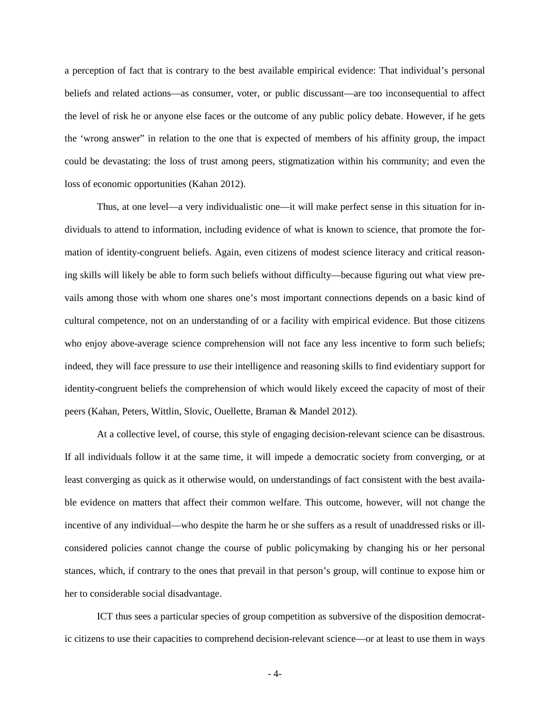a perception of fact that is contrary to the best available empirical evidence: That individual's personal beliefs and related actions—as consumer, voter, or public discussant—are too inconsequential to affect the level of risk he or anyone else faces or the outcome of any public policy debate. However, if he gets the 'wrong answer" in relation to the one that is expected of members of his affinity group, the impact could be devastating: the loss of trust among peers, stigmatization within his community; and even the loss of economic opportunities (Kahan 2012).

Thus, at one level—a very individualistic one—it will make perfect sense in this situation for individuals to attend to information, including evidence of what is known to science, that promote the formation of identity-congruent beliefs. Again, even citizens of modest science literacy and critical reasoning skills will likely be able to form such beliefs without difficulty—because figuring out what view prevails among those with whom one shares one's most important connections depends on a basic kind of cultural competence, not on an understanding of or a facility with empirical evidence. But those citizens who enjoy above-average science comprehension will not face any less incentive to form such beliefs; indeed, they will face pressure to *use* their intelligence and reasoning skills to find evidentiary support for identity-congruent beliefs the comprehension of which would likely exceed the capacity of most of their peers (Kahan, Peters, Wittlin, Slovic, Ouellette, Braman & Mandel 2012).

At a collective level, of course, this style of engaging decision-relevant science can be disastrous. If all individuals follow it at the same time, it will impede a democratic society from converging, or at least converging as quick as it otherwise would, on understandings of fact consistent with the best available evidence on matters that affect their common welfare. This outcome, however, will not change the incentive of any individual—who despite the harm he or she suffers as a result of unaddressed risks or illconsidered policies cannot change the course of public policymaking by changing his or her personal stances, which, if contrary to the ones that prevail in that person's group, will continue to expose him or her to considerable social disadvantage.

ICT thus sees a particular species of group competition as subversive of the disposition democratic citizens to use their capacities to comprehend decision-relevant science—or at least to use them in ways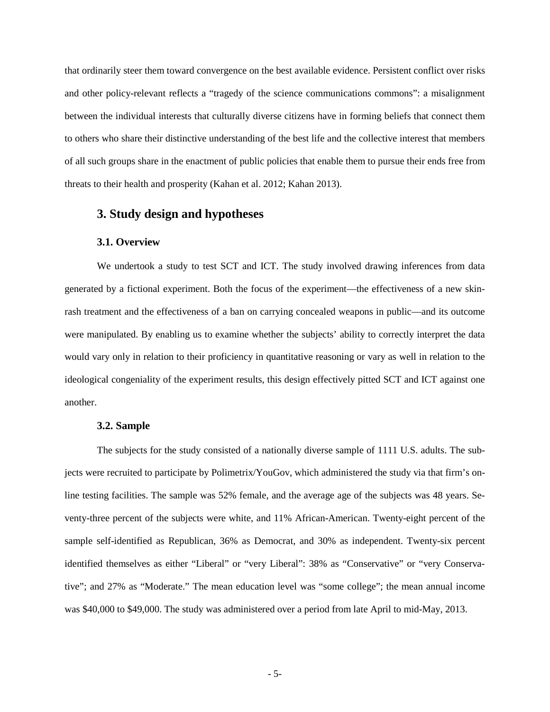that ordinarily steer them toward convergence on the best available evidence. Persistent conflict over risks and other policy-relevant reflects a "tragedy of the science communications commons": a misalignment between the individual interests that culturally diverse citizens have in forming beliefs that connect them to others who share their distinctive understanding of the best life and the collective interest that members of all such groups share in the enactment of public policies that enable them to pursue their ends free from threats to their health and prosperity (Kahan et al. 2012; Kahan 2013).

# **3. Study design and hypotheses**

#### **3.1. Overview**

We undertook a study to test SCT and ICT. The study involved drawing inferences from data generated by a fictional experiment. Both the focus of the experiment—the effectiveness of a new skinrash treatment and the effectiveness of a ban on carrying concealed weapons in public—and its outcome were manipulated. By enabling us to examine whether the subjects' ability to correctly interpret the data would vary only in relation to their proficiency in quantitative reasoning or vary as well in relation to the ideological congeniality of the experiment results, this design effectively pitted SCT and ICT against one another.

#### **3.2. Sample**

The subjects for the study consisted of a nationally diverse sample of 1111 U.S. adults. The subjects were recruited to participate by Polimetrix/YouGov, which administered the study via that firm's online testing facilities. The sample was 52% female, and the average age of the subjects was 48 years. Seventy-three percent of the subjects were white, and 11% African-American. Twenty-eight percent of the sample self-identified as Republican, 36% as Democrat, and 30% as independent. Twenty-six percent identified themselves as either "Liberal" or "very Liberal": 38% as "Conservative" or "very Conservative"; and 27% as "Moderate." The mean education level was "some college"; the mean annual income was \$40,000 to \$49,000. The study was administered over a period from late April to mid-May, 2013.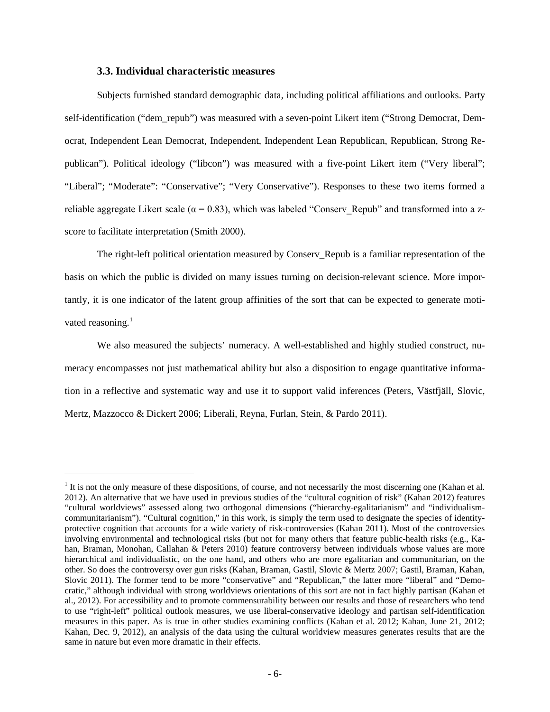## **3.3. Individual characteristic measures**

 $\overline{a}$ 

Subjects furnished standard demographic data, including political affiliations and outlooks. Party self-identification ("dem\_repub") was measured with a seven-point Likert item ("Strong Democrat, Democrat, Independent Lean Democrat, Independent, Independent Lean Republican, Republican, Strong Republican"). Political ideology ("libcon") was measured with a five-point Likert item ("Very liberal"; "Liberal"; "Moderate": "Conservative"; "Very Conservative"). Responses to these two items formed a reliable aggregate Likert scale ( $α = 0.83$ ), which was labeled "Conserv Repub" and transformed into a zscore to facilitate interpretation (Smith 2000).

The right-left political orientation measured by Conserv\_Repub is a familiar representation of the basis on which the public is divided on many issues turning on decision-relevant science. More importantly, it is one indicator of the latent group affinities of the sort that can be expected to generate moti-vated reasoning.<sup>[1](#page-0-0)</sup>

We also measured the subjects' numeracy. A well-established and highly studied construct, numeracy encompasses not just mathematical ability but also a disposition to engage quantitative information in a reflective and systematic way and use it to support valid inferences (Peters, Västfjäll, Slovic, Mertz, Mazzocco & Dickert 2006; Liberali, Reyna, Furlan, Stein, & Pardo 2011).

<span id="page-7-0"></span> $<sup>1</sup>$  It is not the only measure of these dispositions, of course, and not necessarily the most discerning one (Kahan et al.</sup> 2012). An alternative that we have used in previous studies of the "cultural cognition of risk" (Kahan 2012) features "cultural worldviews" assessed along two orthogonal dimensions ("hierarchy-egalitarianism" and "individualismcommunitarianism"). "Cultural cognition," in this work, is simply the term used to designate the species of identityprotective cognition that accounts for a wide variety of risk-controversies (Kahan 2011). Most of the controversies involving environmental and technological risks (but not for many others that feature public-health risks (e.g., Kahan, Braman, Monohan, Callahan & Peters 2010) feature controversy between individuals whose values are more hierarchical and individualistic, on the one hand, and others who are more egalitarian and communitarian, on the other. So does the controversy over gun risks (Kahan, Braman, Gastil, Slovic & Mertz 2007; Gastil, Braman, Kahan, Slovic 2011). The former tend to be more "conservative" and "Republican," the latter more "liberal" and "Democratic," although individual with strong worldviews orientations of this sort are not in fact highly partisan (Kahan et al., 2012). For accessibility and to promote commensurability between our results and those of researchers who tend to use "right-left" political outlook measures, we use liberal-conservative ideology and partisan self-identification measures in this paper. As is true in other studies examining conflicts (Kahan et al. 2012; Kahan, June 21, 2012; Kahan, Dec. 9, 2012), an analysis of the data using the cultural worldview measures generates results that are the same in nature but even more dramatic in their effects.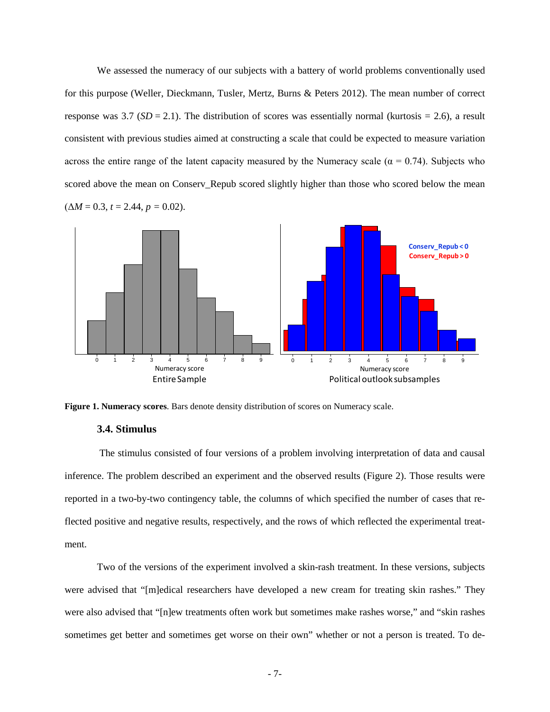We assessed the numeracy of our subjects with a battery of world problems conventionally used for this purpose (Weller, Dieckmann, Tusler, Mertz, Burns & Peters 2012). The mean number of correct response was 3.7 ( $SD = 2.1$ ). The distribution of scores was essentially normal (kurtosis  $= 2.6$ ), a result consistent with previous studies aimed at constructing a scale that could be expected to measure variation across the entire range of the latent capacity measured by the Numeracy scale ( $\alpha = 0.74$ ). Subjects who scored above the mean on Conserv Repub scored slightly higher than those who scored below the mean  $(\Delta M = 0.3, t = 2.44, p = 0.02).$ 



**Figure 1. Numeracy scores**. Bars denote density distribution of scores on Numeracy scale.

#### **3.4. Stimulus**

The stimulus consisted of four versions of a problem involving interpretation of data and causal inference. The problem described an experiment and the observed results (Figure 2). Those results were reported in a two-by-two contingency table, the columns of which specified the number of cases that reflected positive and negative results, respectively, and the rows of which reflected the experimental treatment.

Two of the versions of the experiment involved a skin-rash treatment. In these versions, subjects were advised that "[m]edical researchers have developed a new cream for treating skin rashes." They were also advised that "[n]ew treatments often work but sometimes make rashes worse," and "skin rashes sometimes get better and sometimes get worse on their own" whether or not a person is treated. To de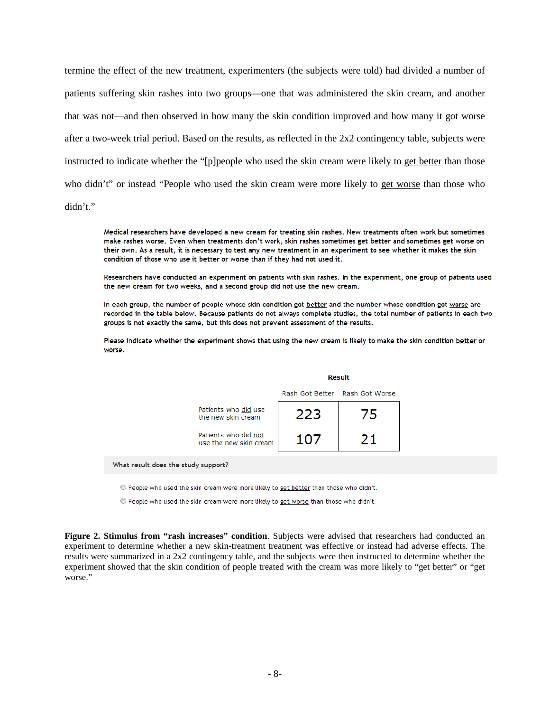termine the effect of the new treatment, experimenters (the subjects were told) had divided a number of patients suffering skin rashes into two groups—one that was administered the skin cream, and another that was not—and then observed in how many the skin condition improved and how many it got worse after a two-week trial period. Based on the results, as reflected in the 2x2 contingency table, subjects were instructed to indicate whether the "[p]people who used the skin cream were likely to get better than those who didn't" or instead "People who used the skin cream were more likely to get worse than those who

didn't."

Medical researchers have developed a new cream for treating skin rashes. New treatments often work but sometimes make rashes worse. Even when treatments don't work, skin rashes sometimes get better and sometimes get worse on their own. As a result, it is necessary to test any new treatment in an experiment to see whether it makes the skin condition of those who use it better or worse than if they had not used it.

Researchers have conducted an experiment on patients with skin rashes. In the experiment, one group of patients used the new cream for two weeks, and a second group did not use the new cream.

In each group, the number of people whose skin condition got better and the number whose condition got worse are recorded in the table below. Because patients do not always complete studies, the total number of patients in each two groups is not exactly the same, but this does not prevent assessment of the results.

Please indicate whether the experiment shows that using the new cream is likely to make the skin condition better or worse.

|                                                | Result |                                |  |  |  |
|------------------------------------------------|--------|--------------------------------|--|--|--|
|                                                |        | Rash Got Better Rash Got Worse |  |  |  |
| Patients who did use<br>the new skin cream     | フフス    |                                |  |  |  |
| Patients who did not<br>use the new skin cream | 10Z    | 21                             |  |  |  |

What result does the study support?

© People who used the skin cream were more likely to get better than those who didn't.

© People who used the skin cream were more likely to get worse than those who didn't.

**Figure 2. Stimulus from "rash increases" condition**. Subjects were advised that researchers had conducted an experiment to determine whether a new skin-treatment treatment was effective or instead had adverse effects. The results were summarized in a 2x2 contingency table, and the subjects were then instructed to determine whether the experiment showed that the skin condition of people treated with the cream was more likely to "get better" or "get worse."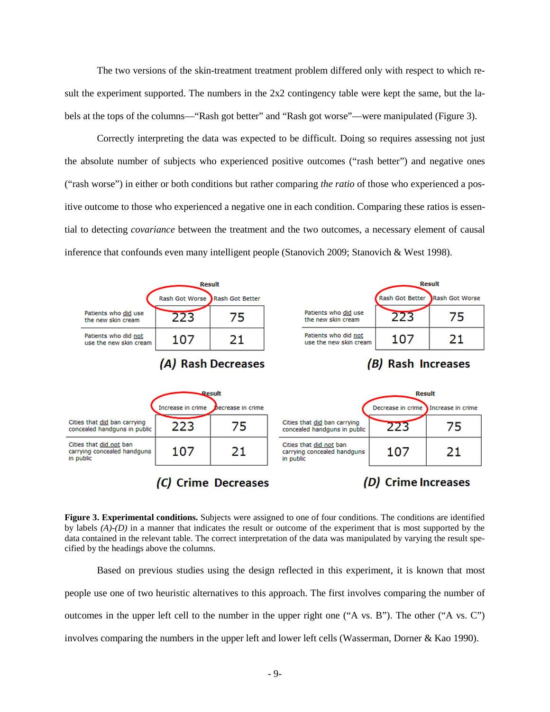The two versions of the skin-treatment treatment problem differed only with respect to which result the experiment supported. The numbers in the 2x2 contingency table were kept the same, but the labels at the tops of the columns—"Rash got better" and "Rash got worse"—were manipulated (Figure 3).

Correctly interpreting the data was expected to be difficult. Doing so requires assessing not just the absolute number of subjects who experienced positive outcomes ("rash better") and negative ones ("rash worse") in either or both conditions but rather comparing *the ratio* of those who experienced a positive outcome to those who experienced a negative one in each condition. Comparing these ratios is essential to detecting *covariance* between the treatment and the two outcomes, a necessary element of causal inference that confounds even many intelligent people (Stanovich 2009; Stanovich & West 1998).

|                                                                     | <b>Result</b>  |                              |                                                                     | <b>Result</b>   |                       |  |  |
|---------------------------------------------------------------------|----------------|------------------------------|---------------------------------------------------------------------|-----------------|-----------------------|--|--|
|                                                                     | Rash Got Worse | Rash Got Better              |                                                                     | Rash Got Better | <b>Rash Got Worse</b> |  |  |
| Patients who did use<br>the new skin cream                          | 223            | 75                           | Patients who did use<br>the new skin cream                          | 223             | 75                    |  |  |
| Patients who did not<br>use the new skin cream                      | 107            | 21                           | Patients who did not<br>use the new skin cream                      | 107             | 21                    |  |  |
|                                                                     |                | (A) Rash Decreases<br>Result | (B) Rash Increases<br><b>Result</b>                                 |                 |                       |  |  |
| Increase in crime<br>Decrease in crime                              |                |                              | Decrease in crime<br>Increase in crime                              |                 |                       |  |  |
| Cities that did ban carrying                                        |                |                              | Cities that did ban carrying                                        |                 |                       |  |  |
| concealed handguns in public                                        | 223            | 75                           | concealed handguns in public                                        | 223             | 75                    |  |  |
| Cities that did not ban<br>carrying concealed handguns<br>in public | 107            | 21                           | Cities that did not ban<br>carrying concealed handguns<br>in public | 107             | 21                    |  |  |

(C) Crime Decreases

(D) Crime Increases

**Figure 3. Experimental conditions.** Subjects were assigned to one of four conditions. The conditions are identified by labels *(A)*-*(D)* in a manner that indicates the result or outcome of the experiment that is most supported by the data contained in the relevant table. The correct interpretation of the data was manipulated by varying the result specified by the headings above the columns.

Based on previous studies using the design reflected in this experiment, it is known that most people use one of two heuristic alternatives to this approach. The first involves comparing the number of outcomes in the upper left cell to the number in the upper right one ("A vs. B"). The other ("A vs. C") involves comparing the numbers in the upper left and lower left cells (Wasserman, Dorner & Kao 1990).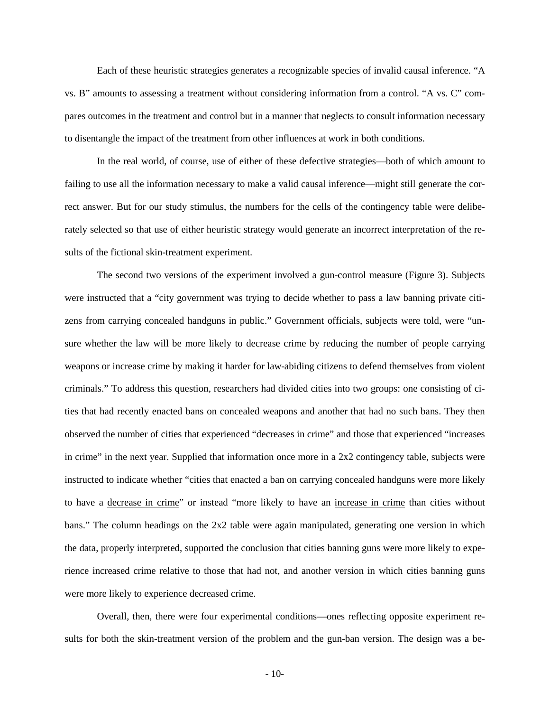Each of these heuristic strategies generates a recognizable species of invalid causal inference. "A vs. B" amounts to assessing a treatment without considering information from a control. "A vs. C" compares outcomes in the treatment and control but in a manner that neglects to consult information necessary to disentangle the impact of the treatment from other influences at work in both conditions.

In the real world, of course, use of either of these defective strategies—both of which amount to failing to use all the information necessary to make a valid causal inference—might still generate the correct answer. But for our study stimulus, the numbers for the cells of the contingency table were deliberately selected so that use of either heuristic strategy would generate an incorrect interpretation of the results of the fictional skin-treatment experiment.

The second two versions of the experiment involved a gun-control measure (Figure 3). Subjects were instructed that a "city government was trying to decide whether to pass a law banning private citizens from carrying concealed handguns in public." Government officials, subjects were told, were "unsure whether the law will be more likely to decrease crime by reducing the number of people carrying weapons or increase crime by making it harder for law-abiding citizens to defend themselves from violent criminals." To address this question, researchers had divided cities into two groups: one consisting of cities that had recently enacted bans on concealed weapons and another that had no such bans. They then observed the number of cities that experienced "decreases in crime" and those that experienced "increases in crime" in the next year. Supplied that information once more in a 2x2 contingency table, subjects were instructed to indicate whether "cities that enacted a ban on carrying concealed handguns were more likely to have a decrease in crime" or instead "more likely to have an increase in crime than cities without bans." The column headings on the 2x2 table were again manipulated, generating one version in which the data, properly interpreted, supported the conclusion that cities banning guns were more likely to experience increased crime relative to those that had not, and another version in which cities banning guns were more likely to experience decreased crime.

Overall, then, there were four experimental conditions—ones reflecting opposite experiment results for both the skin-treatment version of the problem and the gun-ban version. The design was a be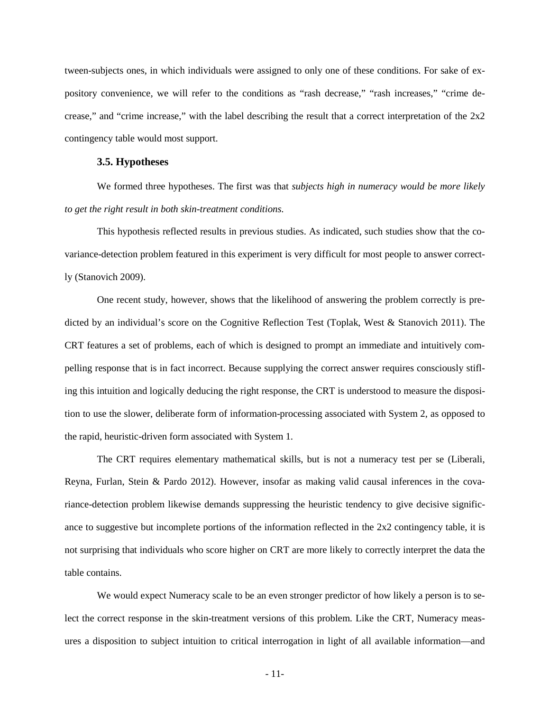tween-subjects ones, in which individuals were assigned to only one of these conditions. For sake of expository convenience, we will refer to the conditions as "rash decrease," "rash increases," "crime decrease," and "crime increase," with the label describing the result that a correct interpretation of the 2x2 contingency table would most support.

#### **3.5. Hypotheses**

We formed three hypotheses. The first was that *subjects high in numeracy would be more likely to get the right result in both skin-treatment conditions*.

This hypothesis reflected results in previous studies. As indicated, such studies show that the covariance-detection problem featured in this experiment is very difficult for most people to answer correctly (Stanovich 2009).

One recent study, however, shows that the likelihood of answering the problem correctly is predicted by an individual's score on the Cognitive Reflection Test (Toplak, West & Stanovich 2011). The CRT features a set of problems, each of which is designed to prompt an immediate and intuitively compelling response that is in fact incorrect. Because supplying the correct answer requires consciously stifling this intuition and logically deducing the right response, the CRT is understood to measure the disposition to use the slower, deliberate form of information-processing associated with System 2, as opposed to the rapid, heuristic-driven form associated with System 1.

The CRT requires elementary mathematical skills, but is not a numeracy test per se (Liberali, Reyna, Furlan, Stein & Pardo 2012). However, insofar as making valid causal inferences in the covariance-detection problem likewise demands suppressing the heuristic tendency to give decisive significance to suggestive but incomplete portions of the information reflected in the 2x2 contingency table, it is not surprising that individuals who score higher on CRT are more likely to correctly interpret the data the table contains.

We would expect Numeracy scale to be an even stronger predictor of how likely a person is to select the correct response in the skin-treatment versions of this problem. Like the CRT, Numeracy measures a disposition to subject intuition to critical interrogation in light of all available information—and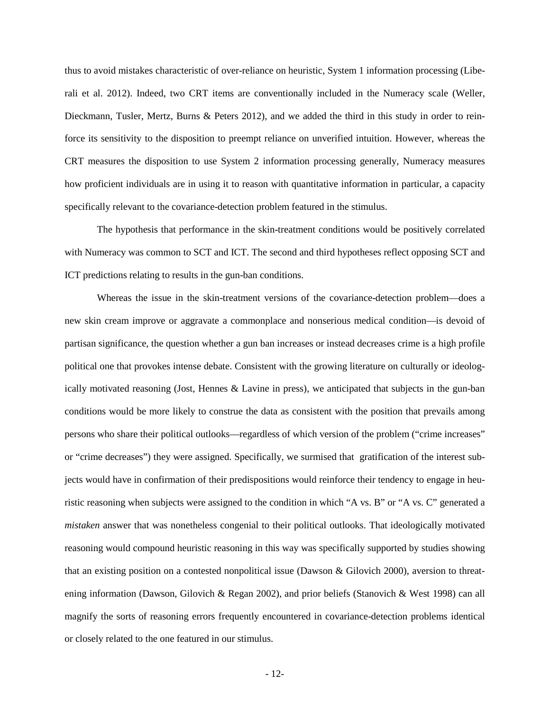thus to avoid mistakes characteristic of over-reliance on heuristic, System 1 information processing (Liberali et al. 2012). Indeed, two CRT items are conventionally included in the Numeracy scale (Weller, Dieckmann, Tusler, Mertz, Burns & Peters 2012), and we added the third in this study in order to reinforce its sensitivity to the disposition to preempt reliance on unverified intuition. However, whereas the CRT measures the disposition to use System 2 information processing generally, Numeracy measures how proficient individuals are in using it to reason with quantitative information in particular, a capacity specifically relevant to the covariance-detection problem featured in the stimulus.

The hypothesis that performance in the skin-treatment conditions would be positively correlated with Numeracy was common to SCT and ICT. The second and third hypotheses reflect opposing SCT and ICT predictions relating to results in the gun-ban conditions.

Whereas the issue in the skin-treatment versions of the covariance-detection problem—does a new skin cream improve or aggravate a commonplace and nonserious medical condition—is devoid of partisan significance, the question whether a gun ban increases or instead decreases crime is a high profile political one that provokes intense debate. Consistent with the growing literature on culturally or ideologically motivated reasoning (Jost, Hennes & Lavine in press), we anticipated that subjects in the gun-ban conditions would be more likely to construe the data as consistent with the position that prevails among persons who share their political outlooks—regardless of which version of the problem ("crime increases" or "crime decreases") they were assigned. Specifically, we surmised that gratification of the interest subjects would have in confirmation of their predispositions would reinforce their tendency to engage in heuristic reasoning when subjects were assigned to the condition in which "A vs. B" or "A vs. C" generated a *mistaken* answer that was nonetheless congenial to their political outlooks. That ideologically motivated reasoning would compound heuristic reasoning in this way was specifically supported by studies showing that an existing position on a contested nonpolitical issue (Dawson & Gilovich 2000), aversion to threatening information (Dawson, Gilovich & Regan 2002), and prior beliefs (Stanovich & West 1998) can all magnify the sorts of reasoning errors frequently encountered in covariance-detection problems identical or closely related to the one featured in our stimulus.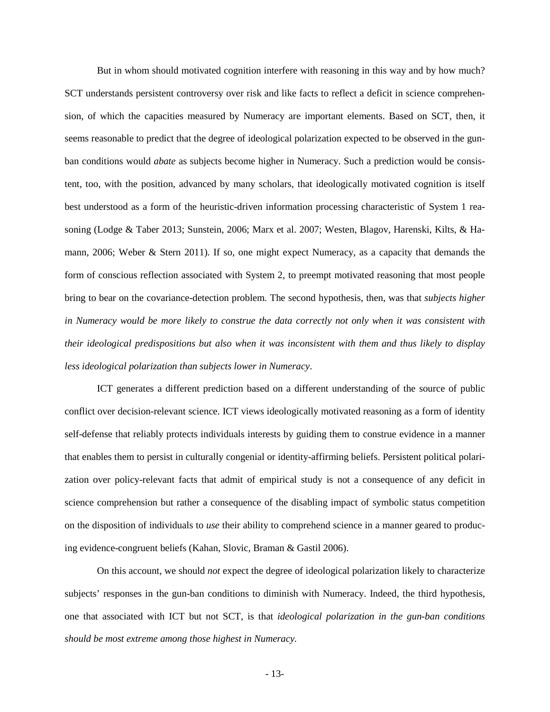But in whom should motivated cognition interfere with reasoning in this way and by how much? SCT understands persistent controversy over risk and like facts to reflect a deficit in science comprehension, of which the capacities measured by Numeracy are important elements. Based on SCT, then, it seems reasonable to predict that the degree of ideological polarization expected to be observed in the gunban conditions would *abate* as subjects become higher in Numeracy. Such a prediction would be consistent, too, with the position, advanced by many scholars, that ideologically motivated cognition is itself best understood as a form of the heuristic-driven information processing characteristic of System 1 reasoning (Lodge & Taber 2013; Sunstein, 2006; Marx et al. 2007; Westen, Blagov, Harenski, Kilts, & Hamann, 2006; Weber & Stern 2011). If so, one might expect Numeracy, as a capacity that demands the form of conscious reflection associated with System 2, to preempt motivated reasoning that most people bring to bear on the covariance-detection problem. The second hypothesis, then, was that *subjects higher in Numeracy would be more likely to construe the data correctly not only when it was consistent with their ideological predispositions but also when it was inconsistent with them and thus likely to display less ideological polarization than subjects lower in Numeracy*.

ICT generates a different prediction based on a different understanding of the source of public conflict over decision-relevant science. ICT views ideologically motivated reasoning as a form of identity self-defense that reliably protects individuals interests by guiding them to construe evidence in a manner that enables them to persist in culturally congenial or identity-affirming beliefs. Persistent political polarization over policy-relevant facts that admit of empirical study is not a consequence of any deficit in science comprehension but rather a consequence of the disabling impact of symbolic status competition on the disposition of individuals to *use* their ability to comprehend science in a manner geared to producing evidence-congruent beliefs (Kahan, Slovic, Braman & Gastil 2006).

On this account, we should *not* expect the degree of ideological polarization likely to characterize subjects' responses in the gun-ban conditions to diminish with Numeracy. Indeed, the third hypothesis, one that associated with ICT but not SCT, is that *ideological polarization in the gun-ban conditions should be most extreme among those highest in Numeracy.*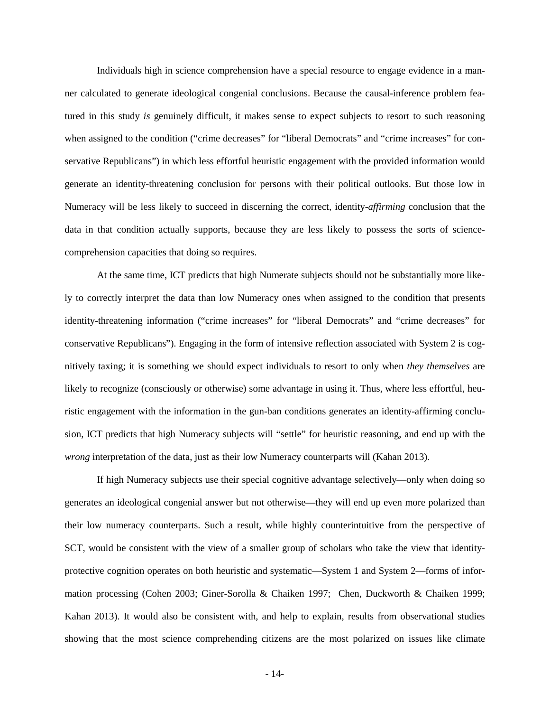Individuals high in science comprehension have a special resource to engage evidence in a manner calculated to generate ideological congenial conclusions. Because the causal-inference problem featured in this study *is* genuinely difficult, it makes sense to expect subjects to resort to such reasoning when assigned to the condition ("crime decreases" for "liberal Democrats" and "crime increases" for conservative Republicans") in which less effortful heuristic engagement with the provided information would generate an identity*-*threatening conclusion for persons with their political outlooks. But those low in Numeracy will be less likely to succeed in discerning the correct, identity-*affirming* conclusion that the data in that condition actually supports, because they are less likely to possess the sorts of sciencecomprehension capacities that doing so requires.

At the same time, ICT predicts that high Numerate subjects should not be substantially more likely to correctly interpret the data than low Numeracy ones when assigned to the condition that presents identity-threatening information ("crime increases" for "liberal Democrats" and "crime decreases" for conservative Republicans"). Engaging in the form of intensive reflection associated with System 2 is cognitively taxing; it is something we should expect individuals to resort to only when *they themselves* are likely to recognize (consciously or otherwise) some advantage in using it. Thus, where less effortful, heuristic engagement with the information in the gun-ban conditions generates an identity-affirming conclusion, ICT predicts that high Numeracy subjects will "settle" for heuristic reasoning, and end up with the *wrong* interpretation of the data, just as their low Numeracy counterparts will (Kahan 2013).

If high Numeracy subjects use their special cognitive advantage selectively—only when doing so generates an ideological congenial answer but not otherwise—they will end up even more polarized than their low numeracy counterparts. Such a result, while highly counterintuitive from the perspective of SCT, would be consistent with the view of a smaller group of scholars who take the view that identityprotective cognition operates on both heuristic and systematic—System 1 and System 2—forms of information processing (Cohen 2003; Giner-Sorolla & Chaiken 1997; Chen, Duckworth & Chaiken 1999; Kahan 2013). It would also be consistent with, and help to explain, results from observational studies showing that the most science comprehending citizens are the most polarized on issues like climate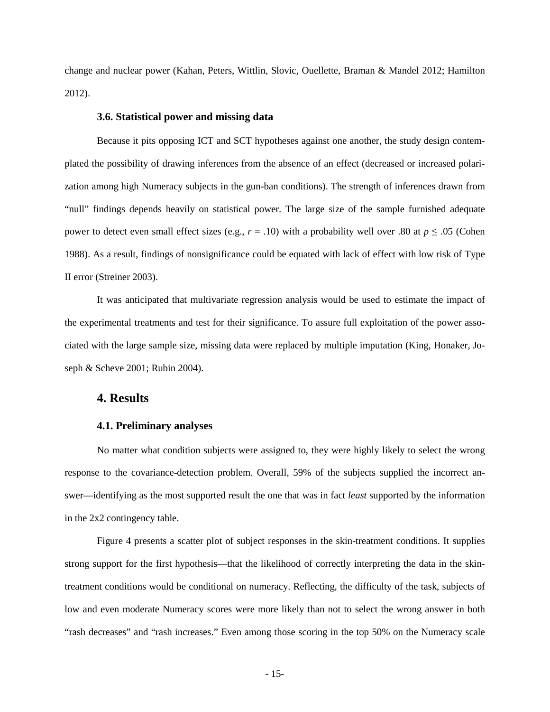change and nuclear power (Kahan, Peters, Wittlin, Slovic, Ouellette, Braman & Mandel 2012; Hamilton 2012).

#### **3.6. Statistical power and missing data**

Because it pits opposing ICT and SCT hypotheses against one another, the study design contemplated the possibility of drawing inferences from the absence of an effect (decreased or increased polarization among high Numeracy subjects in the gun-ban conditions). The strength of inferences drawn from "null" findings depends heavily on statistical power. The large size of the sample furnished adequate power to detect even small effect sizes (e.g.,  $r = .10$ ) with a probability well over .80 at  $p \le .05$  (Cohen 1988). As a result, findings of nonsignificance could be equated with lack of effect with low risk of Type II error (Streiner 2003).

It was anticipated that multivariate regression analysis would be used to estimate the impact of the experimental treatments and test for their significance. To assure full exploitation of the power associated with the large sample size, missing data were replaced by multiple imputation (King, Honaker, Joseph & Scheve 2001; Rubin 2004).

# **4. Results**

### **4.1. Preliminary analyses**

No matter what condition subjects were assigned to, they were highly likely to select the wrong response to the covariance-detection problem. Overall, 59% of the subjects supplied the incorrect answer—identifying as the most supported result the one that was in fact *least* supported by the information in the 2x2 contingency table.

Figure 4 presents a scatter plot of subject responses in the skin-treatment conditions. It supplies strong support for the first hypothesis—that the likelihood of correctly interpreting the data in the skintreatment conditions would be conditional on numeracy. Reflecting, the difficulty of the task, subjects of low and even moderate Numeracy scores were more likely than not to select the wrong answer in both "rash decreases" and "rash increases." Even among those scoring in the top 50% on the Numeracy scale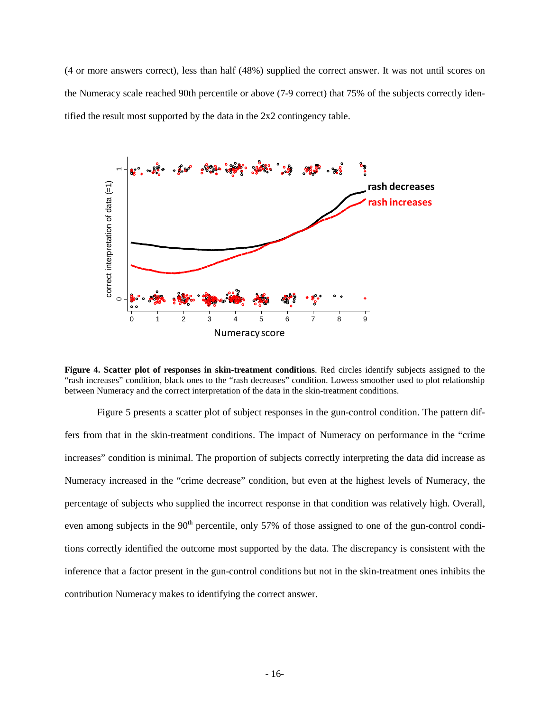(4 or more answers correct), less than half (48%) supplied the correct answer. It was not until scores on the Numeracy scale reached 90th percentile or above (7-9 correct) that 75% of the subjects correctly identified the result most supported by the data in the 2x2 contingency table.



**Figure 4. Scatter plot of responses in skin-treatment conditions**. Red circles identify subjects assigned to the "rash increases" condition, black ones to the "rash decreases" condition. Lowess smoother used to plot relationship between Numeracy and the correct interpretation of the data in the skin-treatment conditions.

Figure 5 presents a scatter plot of subject responses in the gun-control condition. The pattern differs from that in the skin-treatment conditions. The impact of Numeracy on performance in the "crime increases" condition is minimal. The proportion of subjects correctly interpreting the data did increase as Numeracy increased in the "crime decrease" condition, but even at the highest levels of Numeracy, the percentage of subjects who supplied the incorrect response in that condition was relatively high. Overall, even among subjects in the  $90<sup>th</sup>$  percentile, only 57% of those assigned to one of the gun-control conditions correctly identified the outcome most supported by the data. The discrepancy is consistent with the inference that a factor present in the gun-control conditions but not in the skin-treatment ones inhibits the contribution Numeracy makes to identifying the correct answer.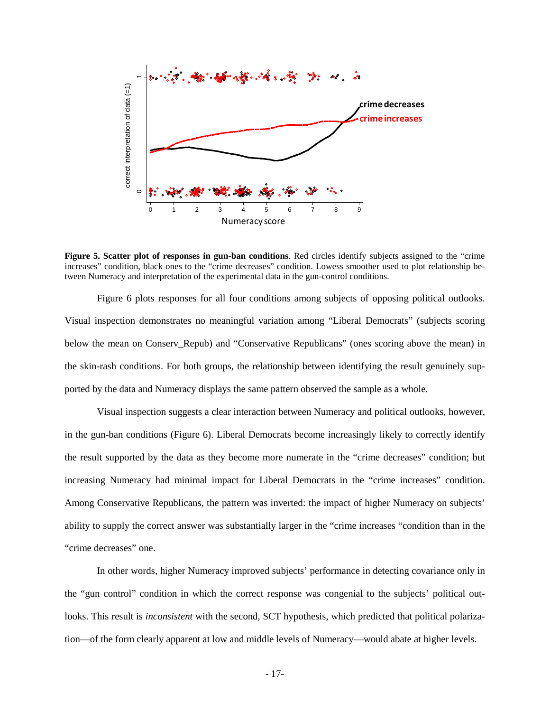

**Figure 5. Scatter plot of responses in gun-ban conditions**. Red circles identify subjects assigned to the "crime increases" condition, black ones to the "crime decreases" condition. Lowess smoother used to plot relationship between Numeracy and interpretation of the experimental data in the gun-control conditions.

Figure 6 plots responses for all four conditions among subjects of opposing political outlooks. Visual inspection demonstrates no meaningful variation among "Liberal Democrats" (subjects scoring below the mean on Conserv\_Repub) and "Conservative Republicans" (ones scoring above the mean) in the skin-rash conditions. For both groups, the relationship between identifying the result genuinely supported by the data and Numeracy displays the same pattern observed the sample as a whole.

Visual inspection suggests a clear interaction between Numeracy and political outlooks, however, in the gun-ban conditions (Figure 6). Liberal Democrats become increasingly likely to correctly identify the result supported by the data as they become more numerate in the "crime decreases" condition; but increasing Numeracy had minimal impact for Liberal Democrats in the "crime increases" condition. Among Conservative Republicans, the pattern was inverted: the impact of higher Numeracy on subjects' ability to supply the correct answer was substantially larger in the "crime increases "condition than in the "crime decreases" one.

In other words, higher Numeracy improved subjects' performance in detecting covariance only in the "gun control" condition in which the correct response was congenial to the subjects' political outlooks. This result is *inconsistent* with the second, SCT hypothesis, which predicted that political polarization—of the form clearly apparent at low and middle levels of Numeracy—would abate at higher levels.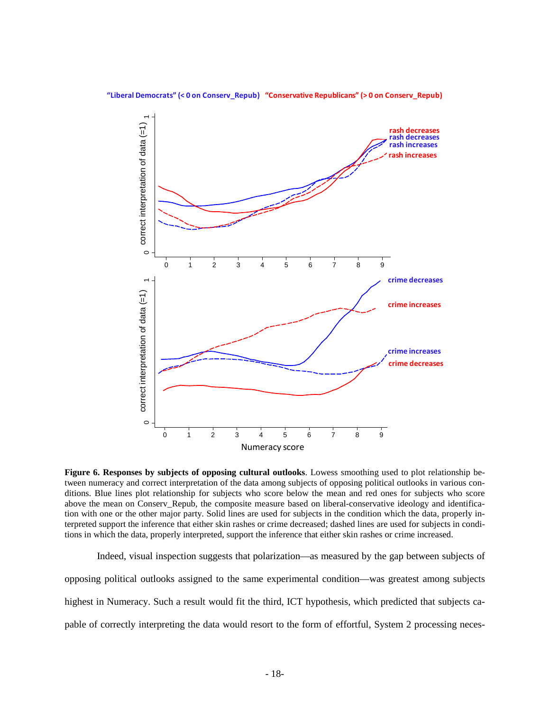

**Figure 6. Responses by subjects of opposing cultural outlooks**. Lowess smoothing used to plot relationship between numeracy and correct interpretation of the data among subjects of opposing political outlooks in various conditions. Blue lines plot relationship for subjects who score below the mean and red ones for subjects who score above the mean on Conserv\_Repub, the composite measure based on liberal-conservative ideology and identification with one or the other major party. Solid lines are used for subjects in the condition which the data, properly interpreted support the inference that either skin rashes or crime decreased; dashed lines are used for subjects in conditions in which the data, properly interpreted, support the inference that either skin rashes or crime increased.

Indeed, visual inspection suggests that polarization—as measured by the gap between subjects of opposing political outlooks assigned to the same experimental condition—was greatest among subjects highest in Numeracy. Such a result would fit the third, ICT hypothesis, which predicted that subjects capable of correctly interpreting the data would resort to the form of effortful, System 2 processing neces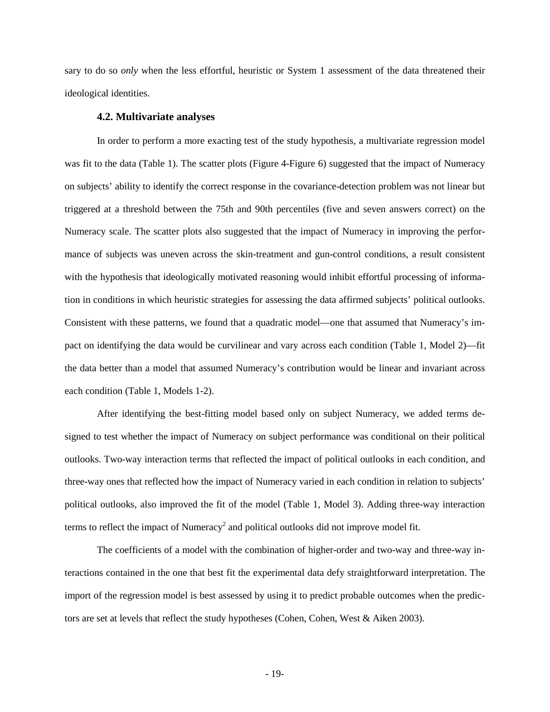sary to do so *only* when the less effortful, heuristic or System 1 assessment of the data threatened their ideological identities.

#### **4.2. Multivariate analyses**

In order to perform a more exacting test of the study hypothesis, a multivariate regression model was fit to the data (Table 1). The scatter plots (Figure 4-Figure 6) suggested that the impact of Numeracy on subjects' ability to identify the correct response in the covariance-detection problem was not linear but triggered at a threshold between the 75th and 90th percentiles (five and seven answers correct) on the Numeracy scale. The scatter plots also suggested that the impact of Numeracy in improving the performance of subjects was uneven across the skin-treatment and gun-control conditions, a result consistent with the hypothesis that ideologically motivated reasoning would inhibit effortful processing of information in conditions in which heuristic strategies for assessing the data affirmed subjects' political outlooks. Consistent with these patterns, we found that a quadratic model—one that assumed that Numeracy's impact on identifying the data would be curvilinear and vary across each condition (Table 1, Model 2)—fit the data better than a model that assumed Numeracy's contribution would be linear and invariant across each condition (Table 1, Models 1-2).

After identifying the best-fitting model based only on subject Numeracy, we added terms designed to test whether the impact of Numeracy on subject performance was conditional on their political outlooks. Two-way interaction terms that reflected the impact of political outlooks in each condition, and three-way ones that reflected how the impact of Numeracy varied in each condition in relation to subjects' political outlooks, also improved the fit of the model (Table 1, Model 3). Adding three-way interaction terms to reflect the impact of Numeracy<sup>2</sup> and political outlooks did not improve model fit.

The coefficients of a model with the combination of higher-order and two-way and three-way interactions contained in the one that best fit the experimental data defy straightforward interpretation. The import of the regression model is best assessed by using it to predict probable outcomes when the predictors are set at levels that reflect the study hypotheses (Cohen, Cohen, West & Aiken 2003).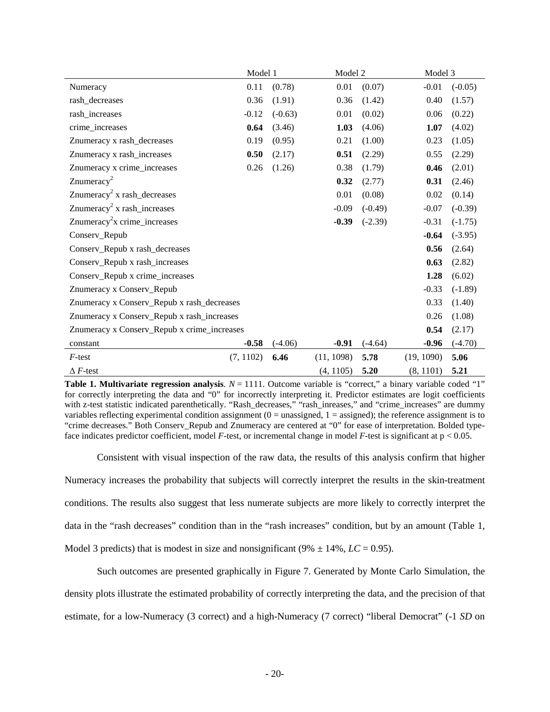|                                             | Model 1   |           | Model 2    |           | Model 3    |           |
|---------------------------------------------|-----------|-----------|------------|-----------|------------|-----------|
| Numeracy                                    | 0.11      | (0.78)    | 0.01       | (0.07)    | $-0.01$    | $(-0.05)$ |
| rash_decreases                              | 0.36      | (1.91)    | 0.36       | (1.42)    | 0.40       | (1.57)    |
| rash_increases                              | $-0.12$   | $(-0.63)$ | 0.01       | (0.02)    | 0.06       | (0.22)    |
| crime_increases                             | 0.64      | (3.46)    | 1.03       | (4.06)    | 1.07       | (4.02)    |
| Znumeracy x rash_decreases                  | 0.19      | (0.95)    | 0.21       | (1.00)    | 0.23       | (1.05)    |
| Znumeracy x rash_increases                  | 0.50      | (2.17)    | 0.51       | (2.29)    | 0.55       | (2.29)    |
| Znumeracy x crime_increases                 | 0.26      | (1.26)    | 0.38       | (1.79)    | 0.46       | (2.01)    |
| $Z$ numeracy <sup>2</sup>                   |           |           | 0.32       | (2.77)    | 0.31       | (2.46)    |
| Znumeracy <sup>2</sup> x rash_decreases     |           |           | 0.01       | (0.08)    | 0.02       | (0.14)    |
| Znumeracy <sup>2</sup> x rash_increases     |           |           | $-0.09$    | $(-0.49)$ | $-0.07$    | $(-0.39)$ |
| Znumeracy <sup>2</sup> x crime_increases    |           |           | $-0.39$    | $(-2.39)$ | $-0.31$    | $(-1.75)$ |
| Conserv_Repub                               |           |           |            |           | $-0.64$    | $(-3.95)$ |
| Conserv_Repub x rash_decreases              |           |           |            |           | 0.56       | (2.64)    |
| Conserv_Repub x rash_increases              |           |           |            |           | 0.63       | (2.82)    |
| Conserv_Repub x crime_increases             |           |           |            |           | 1.28       | (6.02)    |
| Znumeracy x Conserv_Repub                   |           |           |            |           | $-0.33$    | $(-1.89)$ |
| Znumeracy x Conserv_Repub x rash_decreases  |           |           |            |           | 0.33       | (1.40)    |
| Znumeracy x Conserv_Repub x rash_increases  |           |           |            |           | 0.26       | (1.08)    |
| Znumeracy x Conserv_Repub x crime_increases |           |           |            |           | 0.54       | (2.17)    |
| constant                                    | $-0.58$   | $(-4.06)$ | $-0.91$    | $(-4.64)$ | $-0.96$    | $(-4.70)$ |
| $F$ -test                                   | (7, 1102) | 6.46      | (11, 1098) | 5.78      | (19, 1090) | 5.06      |
| $\Delta$ F-test                             |           |           | (4, 1105)  | 5.20      | (8, 1101)  | 5.21      |

**Table 1. Multivariate regression analysis**.  $N = 1111$ . Outcome variable is "correct," a binary variable coded "1" for correctly interpreting the data and "0" for incorrectly interpreting it. Predictor estimates are logit coefficients with z-test statistic indicated parenthetically. "Rash\_decreases," "rash\_inreases," and "crime\_increases" are dummy variables reflecting experimental condition assignment  $(0 =$  unassigned,  $1 =$  assigned); the reference assignment is to "crime decreases." Both Conserv\_Repub and Znumeracy are centered at "0" for ease of interpretation. Bolded typeface indicates predictor coefficient, model *F*-test, or incremental change in model *F*-test is significant at p < 0.05.

Consistent with visual inspection of the raw data, the results of this analysis confirm that higher Numeracy increases the probability that subjects will correctly interpret the results in the skin-treatment conditions. The results also suggest that less numerate subjects are more likely to correctly interpret the data in the "rash decreases" condition than in the "rash increases" condition, but by an amount (Table 1, Model 3 predicts) that is modest in size and nonsignificant ( $9\% \pm 14\%$ ,  $LC = 0.95$ ).

Such outcomes are presented graphically in Figure 7. Generated by Monte Carlo Simulation, the density plots illustrate the estimated probability of correctly interpreting the data, and the precision of that estimate, for a low-Numeracy (3 correct) and a high-Numeracy (7 correct) "liberal Democrat" (-1 *SD* on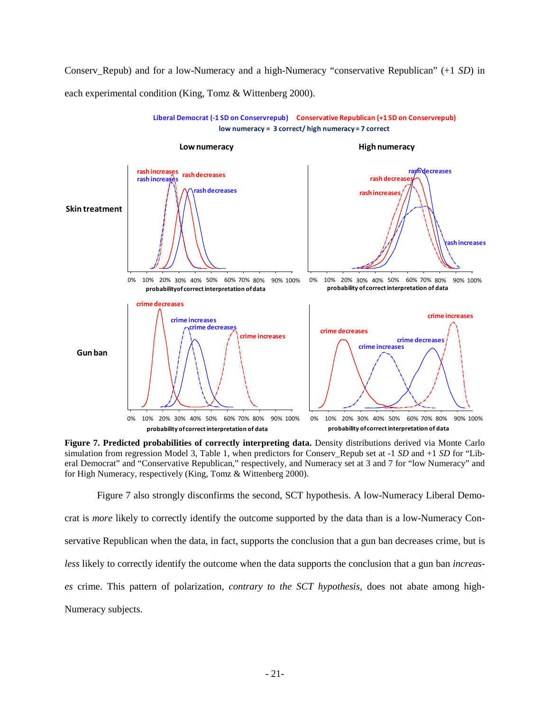Conserv Repub) and for a low-Numeracy and a high-Numeracy "conservative Republican" (+1 *SD*) in each experimental condition (King, Tomz & Wittenberg 2000).



**Figure 7. Predicted probabilities of correctly interpreting data.** Density distributions derived via Monte Carlo simulation from regression Model 3, Table 1, when predictors for Conserv\_Repub set at -1 *SD* and +1 *SD* for "Liberal Democrat" and "Conservative Republican," respectively, and Numeracy set at 3 and 7 for "low Numeracy" and for High Numeracy, respectively (King, Tomz & Wittenberg 2000).

Figure 7 also strongly disconfirms the second, SCT hypothesis. A low-Numeracy Liberal Democrat is *more* likely to correctly identify the outcome supported by the data than is a low-Numeracy Conservative Republican when the data, in fact, supports the conclusion that a gun ban decreases crime, but is *less* likely to correctly identify the outcome when the data supports the conclusion that a gun ban *increases* crime. This pattern of polarization, *contrary to the SCT hypothesis,* does not abate among high-Numeracy subjects.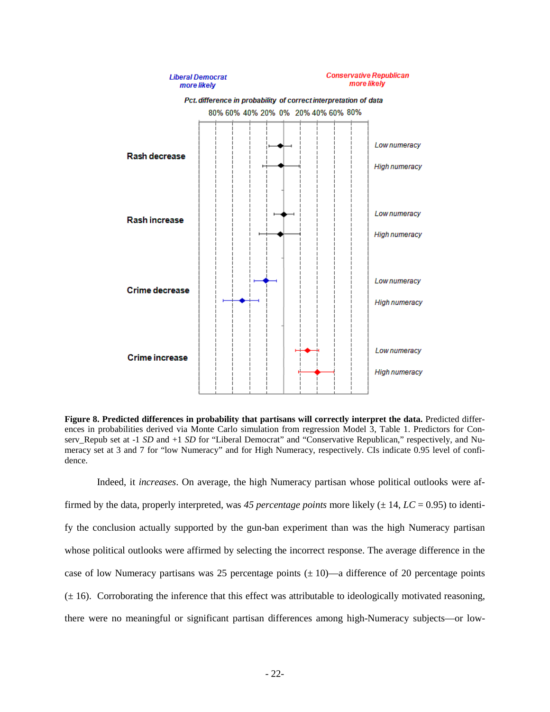

**Figure 8. Predicted differences in probability that partisans will correctly interpret the data.** Predicted differences in probabilities derived via Monte Carlo simulation from regression Model 3, Table 1. Predictors for Conserv\_Repub set at -1 *SD* and +1 *SD* for "Liberal Democrat" and "Conservative Republican," respectively, and Numeracy set at 3 and 7 for "low Numeracy" and for High Numeracy, respectively. CIs indicate 0.95 level of confidence.

Indeed, it *increases*. On average, the high Numeracy partisan whose political outlooks were affirmed by the data, properly interpreted, was 45 percentage points more likely  $(\pm 14, LC = 0.95)$  to identify the conclusion actually supported by the gun-ban experiment than was the high Numeracy partisan whose political outlooks were affirmed by selecting the incorrect response. The average difference in the case of low Numeracy partisans was 25 percentage points  $(\pm 10)$ —a difference of 20 percentage points  $(\pm 16)$ . Corroborating the inference that this effect was attributable to ideologically motivated reasoning, there were no meaningful or significant partisan differences among high-Numeracy subjects—or low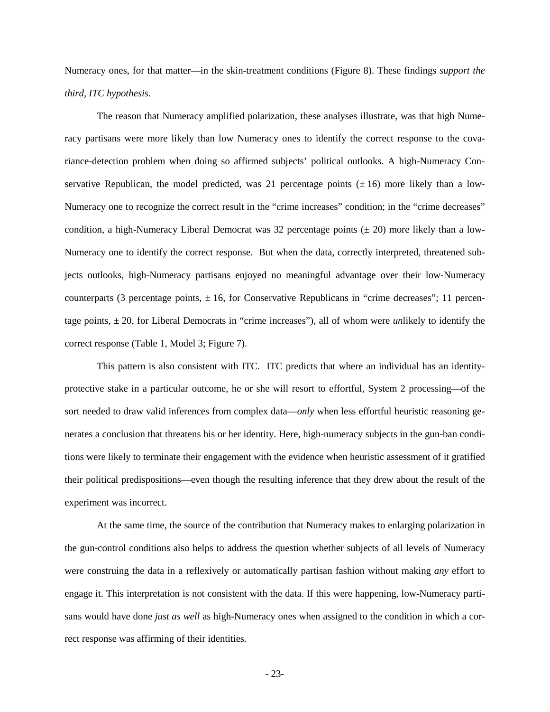Numeracy ones, for that matter—in the skin-treatment conditions (Figure 8). These findings *support the third, ITC hypothesis*.

The reason that Numeracy amplified polarization, these analyses illustrate, was that high Numeracy partisans were more likely than low Numeracy ones to identify the correct response to the covariance-detection problem when doing so affirmed subjects' political outlooks. A high-Numeracy Conservative Republican, the model predicted, was 21 percentage points  $(\pm 16)$  more likely than a low-Numeracy one to recognize the correct result in the "crime increases" condition; in the "crime decreases" condition, a high-Numeracy Liberal Democrat was 32 percentage points  $(\pm 20)$  more likely than a low-Numeracy one to identify the correct response. But when the data, correctly interpreted, threatened subjects outlooks, high-Numeracy partisans enjoyed no meaningful advantage over their low-Numeracy counterparts (3 percentage points,  $\pm 16$ , for Conservative Republicans in "crime decreases"; 11 percentage points, ± 20, for Liberal Democrats in "crime increases"), all of whom were *un*likely to identify the correct response (Table 1, Model 3; Figure 7).

This pattern is also consistent with ITC. ITC predicts that where an individual has an identityprotective stake in a particular outcome, he or she will resort to effortful, System 2 processing—of the sort needed to draw valid inferences from complex data—*only* when less effortful heuristic reasoning generates a conclusion that threatens his or her identity. Here, high-numeracy subjects in the gun-ban conditions were likely to terminate their engagement with the evidence when heuristic assessment of it gratified their political predispositions—even though the resulting inference that they drew about the result of the experiment was incorrect.

At the same time, the source of the contribution that Numeracy makes to enlarging polarization in the gun-control conditions also helps to address the question whether subjects of all levels of Numeracy were construing the data in a reflexively or automatically partisan fashion without making *any* effort to engage it. This interpretation is not consistent with the data. If this were happening, low-Numeracy partisans would have done *just as well* as high-Numeracy ones when assigned to the condition in which a correct response was affirming of their identities.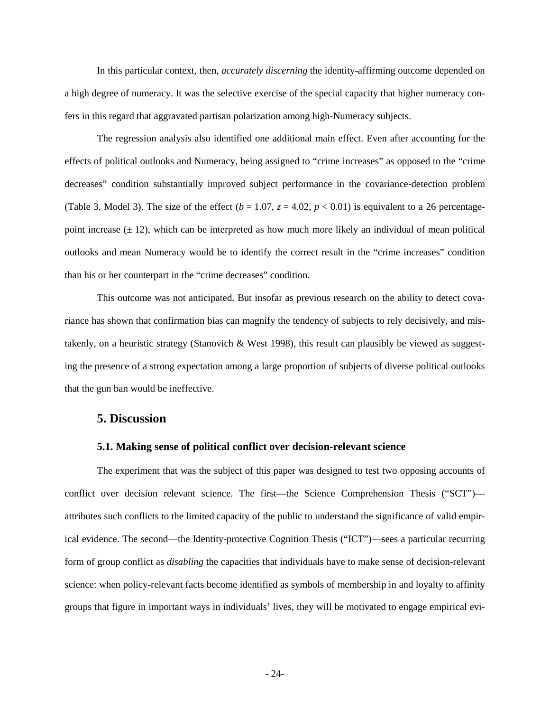In this particular context, then, *accurately discerning* the identity-affirming outcome depended on a high degree of numeracy. It was the selective exercise of the special capacity that higher numeracy confers in this regard that aggravated partisan polarization among high-Numeracy subjects.

The regression analysis also identified one additional main effect. Even after accounting for the effects of political outlooks and Numeracy, being assigned to "crime increases" as opposed to the "crime decreases" condition substantially improved subject performance in the covariance-detection problem (Table 3, Model 3). The size of the effect ( $b = 1.07$ ,  $z = 4.02$ ,  $p < 0.01$ ) is equivalent to a 26 percentagepoint increase  $(\pm 12)$ , which can be interpreted as how much more likely an individual of mean political outlooks and mean Numeracy would be to identify the correct result in the "crime increases" condition than his or her counterpart in the "crime decreases" condition.

This outcome was not anticipated. But insofar as previous research on the ability to detect covariance has shown that confirmation bias can magnify the tendency of subjects to rely decisively, and mistakenly, on a heuristic strategy (Stanovich & West 1998), this result can plausibly be viewed as suggesting the presence of a strong expectation among a large proportion of subjects of diverse political outlooks that the gun ban would be ineffective.

## **5. Discussion**

#### **5.1. Making sense of political conflict over decision-relevant science**

The experiment that was the subject of this paper was designed to test two opposing accounts of conflict over decision relevant science. The first—the Science Comprehension Thesis ("SCT") attributes such conflicts to the limited capacity of the public to understand the significance of valid empirical evidence. The second—the Identity-protective Cognition Thesis ("ICT")—sees a particular recurring form of group conflict as *disabling* the capacities that individuals have to make sense of decision-relevant science: when policy-relevant facts become identified as symbols of membership in and loyalty to affinity groups that figure in important ways in individuals' lives, they will be motivated to engage empirical evi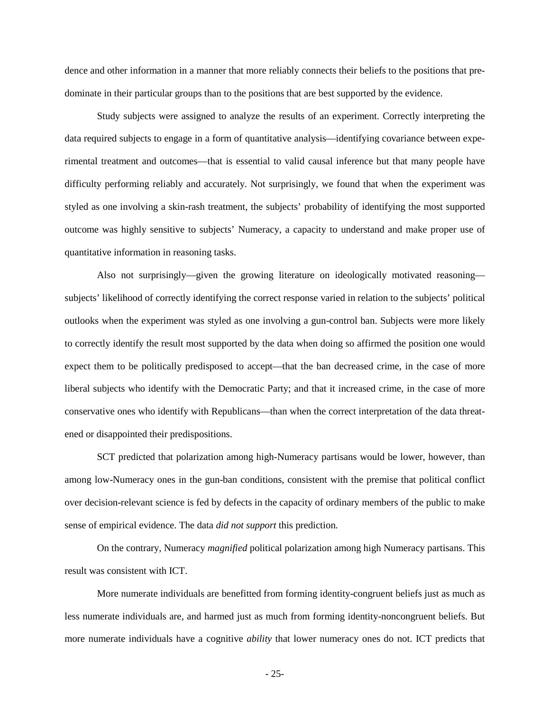dence and other information in a manner that more reliably connects their beliefs to the positions that predominate in their particular groups than to the positions that are best supported by the evidence.

Study subjects were assigned to analyze the results of an experiment. Correctly interpreting the data required subjects to engage in a form of quantitative analysis—identifying covariance between experimental treatment and outcomes—that is essential to valid causal inference but that many people have difficulty performing reliably and accurately. Not surprisingly, we found that when the experiment was styled as one involving a skin-rash treatment, the subjects' probability of identifying the most supported outcome was highly sensitive to subjects' Numeracy, a capacity to understand and make proper use of quantitative information in reasoning tasks.

Also not surprisingly—given the growing literature on ideologically motivated reasoning subjects' likelihood of correctly identifying the correct response varied in relation to the subjects' political outlooks when the experiment was styled as one involving a gun-control ban. Subjects were more likely to correctly identify the result most supported by the data when doing so affirmed the position one would expect them to be politically predisposed to accept—that the ban decreased crime, in the case of more liberal subjects who identify with the Democratic Party; and that it increased crime, in the case of more conservative ones who identify with Republicans—than when the correct interpretation of the data threatened or disappointed their predispositions.

SCT predicted that polarization among high-Numeracy partisans would be lower, however, than among low-Numeracy ones in the gun-ban conditions, consistent with the premise that political conflict over decision-relevant science is fed by defects in the capacity of ordinary members of the public to make sense of empirical evidence. The data *did not support* this prediction.

On the contrary, Numeracy *magnified* political polarization among high Numeracy partisans. This result was consistent with ICT.

More numerate individuals are benefitted from forming identity-congruent beliefs just as much as less numerate individuals are, and harmed just as much from forming identity-noncongruent beliefs. But more numerate individuals have a cognitive *ability* that lower numeracy ones do not. ICT predicts that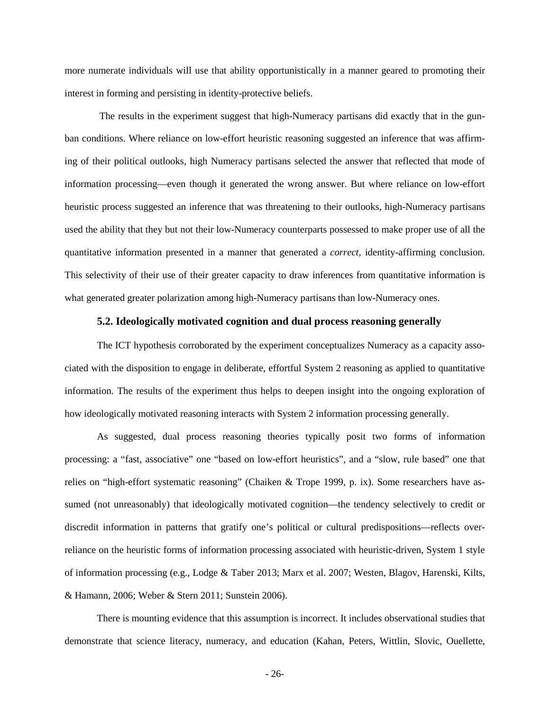more numerate individuals will use that ability opportunistically in a manner geared to promoting their interest in forming and persisting in identity-protective beliefs.

The results in the experiment suggest that high-Numeracy partisans did exactly that in the gunban conditions. Where reliance on low-effort heuristic reasoning suggested an inference that was affirming of their political outlooks, high Numeracy partisans selected the answer that reflected that mode of information processing—even though it generated the wrong answer. But where reliance on low-effort heuristic process suggested an inference that was threatening to their outlooks, high-Numeracy partisans used the ability that they but not their low-Numeracy counterparts possessed to make proper use of all the quantitative information presented in a manner that generated a *correct*, identity-affirming conclusion. This selectivity of their use of their greater capacity to draw inferences from quantitative information is what generated greater polarization among high-Numeracy partisans than low-Numeracy ones.

## **5.2. Ideologically motivated cognition and dual process reasoning generally**

The ICT hypothesis corroborated by the experiment conceptualizes Numeracy as a capacity associated with the disposition to engage in deliberate, effortful System 2 reasoning as applied to quantitative information. The results of the experiment thus helps to deepen insight into the ongoing exploration of how ideologically motivated reasoning interacts with System 2 information processing generally.

As suggested, dual process reasoning theories typically posit two forms of information processing: a "fast, associative" one "based on low-effort heuristics", and a "slow, rule based" one that relies on "high-effort systematic reasoning" (Chaiken & Trope 1999, p. ix). Some researchers have assumed (not unreasonably) that ideologically motivated cognition—the tendency selectively to credit or discredit information in patterns that gratify one's political or cultural predispositions—reflects overreliance on the heuristic forms of information processing associated with heuristic-driven, System 1 style of information processing (e.g., Lodge & Taber 2013; Marx et al. 2007; Westen, Blagov, Harenski, Kilts, & Hamann, 2006; Weber & Stern 2011; Sunstein 2006).

There is mounting evidence that this assumption is incorrect. It includes observational studies that demonstrate that science literacy, numeracy, and education (Kahan, Peters, Wittlin, Slovic, Ouellette,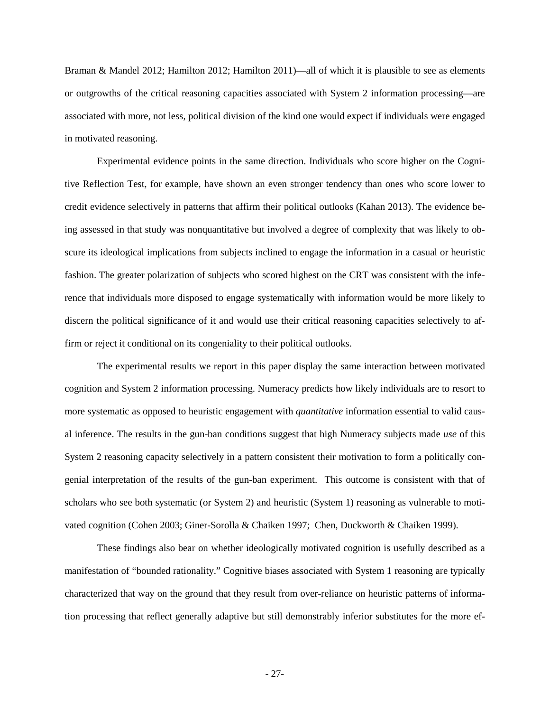Braman & Mandel 2012; Hamilton 2012; Hamilton 2011)—all of which it is plausible to see as elements or outgrowths of the critical reasoning capacities associated with System 2 information processing—are associated with more, not less, political division of the kind one would expect if individuals were engaged in motivated reasoning.

Experimental evidence points in the same direction. Individuals who score higher on the Cognitive Reflection Test, for example, have shown an even stronger tendency than ones who score lower to credit evidence selectively in patterns that affirm their political outlooks (Kahan 2013). The evidence being assessed in that study was nonquantitative but involved a degree of complexity that was likely to obscure its ideological implications from subjects inclined to engage the information in a casual or heuristic fashion. The greater polarization of subjects who scored highest on the CRT was consistent with the inference that individuals more disposed to engage systematically with information would be more likely to discern the political significance of it and would use their critical reasoning capacities selectively to affirm or reject it conditional on its congeniality to their political outlooks.

The experimental results we report in this paper display the same interaction between motivated cognition and System 2 information processing. Numeracy predicts how likely individuals are to resort to more systematic as opposed to heuristic engagement with *quantitative* information essential to valid causal inference. The results in the gun-ban conditions suggest that high Numeracy subjects made *use* of this System 2 reasoning capacity selectively in a pattern consistent their motivation to form a politically congenial interpretation of the results of the gun-ban experiment. This outcome is consistent with that of scholars who see both systematic (or System 2) and heuristic (System 1) reasoning as vulnerable to motivated cognition (Cohen 2003; Giner-Sorolla & Chaiken 1997; Chen, Duckworth & Chaiken 1999).

These findings also bear on whether ideologically motivated cognition is usefully described as a manifestation of "bounded rationality." Cognitive biases associated with System 1 reasoning are typically characterized that way on the ground that they result from over-reliance on heuristic patterns of information processing that reflect generally adaptive but still demonstrably inferior substitutes for the more ef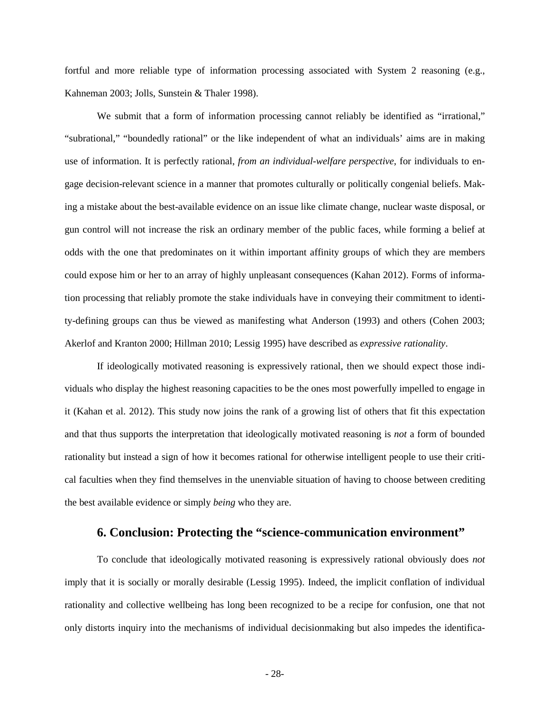fortful and more reliable type of information processing associated with System 2 reasoning (e.g., Kahneman 2003; Jolls, Sunstein & Thaler 1998).

We submit that a form of information processing cannot reliably be identified as "irrational," "subrational," "boundedly rational" or the like independent of what an individuals' aims are in making use of information. It is perfectly rational, *from an individual-welfare perspective*, for individuals to engage decision-relevant science in a manner that promotes culturally or politically congenial beliefs. Making a mistake about the best-available evidence on an issue like climate change, nuclear waste disposal, or gun control will not increase the risk an ordinary member of the public faces, while forming a belief at odds with the one that predominates on it within important affinity groups of which they are members could expose him or her to an array of highly unpleasant consequences (Kahan 2012). Forms of information processing that reliably promote the stake individuals have in conveying their commitment to identity-defining groups can thus be viewed as manifesting what Anderson (1993) and others (Cohen 2003; Akerlof and Kranton 2000; Hillman 2010; Lessig 1995) have described as *expressive rationality*.

If ideologically motivated reasoning is expressively rational, then we should expect those individuals who display the highest reasoning capacities to be the ones most powerfully impelled to engage in it (Kahan et al. 2012). This study now joins the rank of a growing list of others that fit this expectation and that thus supports the interpretation that ideologically motivated reasoning is *not* a form of bounded rationality but instead a sign of how it becomes rational for otherwise intelligent people to use their critical faculties when they find themselves in the unenviable situation of having to choose between crediting the best available evidence or simply *being* who they are.

# **6. Conclusion: Protecting the "science-communication environment"**

To conclude that ideologically motivated reasoning is expressively rational obviously does *not* imply that it is socially or morally desirable (Lessig 1995). Indeed, the implicit conflation of individual rationality and collective wellbeing has long been recognized to be a recipe for confusion, one that not only distorts inquiry into the mechanisms of individual decisionmaking but also impedes the identifica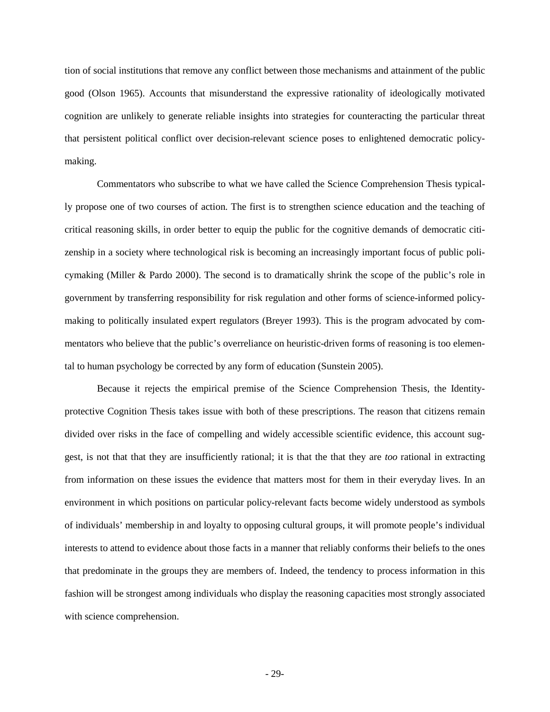tion of social institutions that remove any conflict between those mechanisms and attainment of the public good (Olson 1965). Accounts that misunderstand the expressive rationality of ideologically motivated cognition are unlikely to generate reliable insights into strategies for counteracting the particular threat that persistent political conflict over decision-relevant science poses to enlightened democratic policymaking.

Commentators who subscribe to what we have called the Science Comprehension Thesis typically propose one of two courses of action. The first is to strengthen science education and the teaching of critical reasoning skills, in order better to equip the public for the cognitive demands of democratic citizenship in a society where technological risk is becoming an increasingly important focus of public policymaking (Miller & Pardo 2000). The second is to dramatically shrink the scope of the public's role in government by transferring responsibility for risk regulation and other forms of science-informed policymaking to politically insulated expert regulators (Breyer 1993). This is the program advocated by commentators who believe that the public's overreliance on heuristic-driven forms of reasoning is too elemental to human psychology be corrected by any form of education (Sunstein 2005).

Because it rejects the empirical premise of the Science Comprehension Thesis, the Identityprotective Cognition Thesis takes issue with both of these prescriptions. The reason that citizens remain divided over risks in the face of compelling and widely accessible scientific evidence, this account suggest, is not that that they are insufficiently rational; it is that the that they are *too* rational in extracting from information on these issues the evidence that matters most for them in their everyday lives. In an environment in which positions on particular policy-relevant facts become widely understood as symbols of individuals' membership in and loyalty to opposing cultural groups, it will promote people's individual interests to attend to evidence about those facts in a manner that reliably conforms their beliefs to the ones that predominate in the groups they are members of. Indeed, the tendency to process information in this fashion will be strongest among individuals who display the reasoning capacities most strongly associated with science comprehension.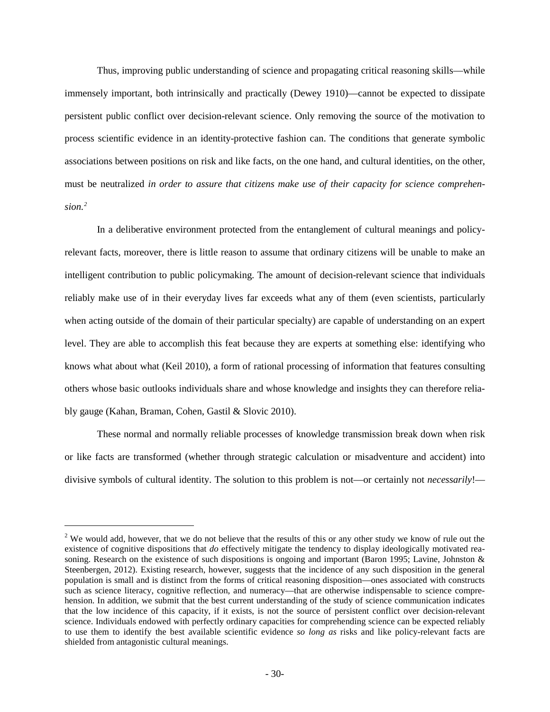Thus, improving public understanding of science and propagating critical reasoning skills—while immensely important, both intrinsically and practically (Dewey 1910)—cannot be expected to dissipate persistent public conflict over decision-relevant science. Only removing the source of the motivation to process scientific evidence in an identity-protective fashion can. The conditions that generate symbolic associations between positions on risk and like facts, on the one hand, and cultural identities, on the other, must be neutralized *in order to assure that citizens make use of their capacity for science comprehension.[2](#page-7-0)*

In a deliberative environment protected from the entanglement of cultural meanings and policyrelevant facts, moreover, there is little reason to assume that ordinary citizens will be unable to make an intelligent contribution to public policymaking. The amount of decision-relevant science that individuals reliably make use of in their everyday lives far exceeds what any of them (even scientists, particularly when acting outside of the domain of their particular specialty) are capable of understanding on an expert level. They are able to accomplish this feat because they are experts at something else: identifying who knows what about what (Keil 2010), a form of rational processing of information that features consulting others whose basic outlooks individuals share and whose knowledge and insights they can therefore reliably gauge (Kahan, Braman, Cohen, Gastil & Slovic 2010).

These normal and normally reliable processes of knowledge transmission break down when risk or like facts are transformed (whether through strategic calculation or misadventure and accident) into divisive symbols of cultural identity. The solution to this problem is not—or certainly not *necessarily*!—

 $\overline{a}$ 

 $2$  We would add, however, that we do not believe that the results of this or any other study we know of rule out the existence of cognitive dispositions that *do* effectively mitigate the tendency to display ideologically motivated reasoning. Research on the existence of such dispositions is ongoing and important (Baron 1995; Lavine, Johnston & Steenbergen, 2012). Existing research, however, suggests that the incidence of any such disposition in the general population is small and is distinct from the forms of critical reasoning disposition—ones associated with constructs such as science literacy, cognitive reflection, and numeracy—that are otherwise indispensable to science comprehension. In addition, we submit that the best current understanding of the study of science communication indicates that the low incidence of this capacity, if it exists, is not the source of persistent conflict over decision-relevant science. Individuals endowed with perfectly ordinary capacities for comprehending science can be expected reliably to use them to identify the best available scientific evidence *so long as* risks and like policy-relevant facts are shielded from antagonistic cultural meanings.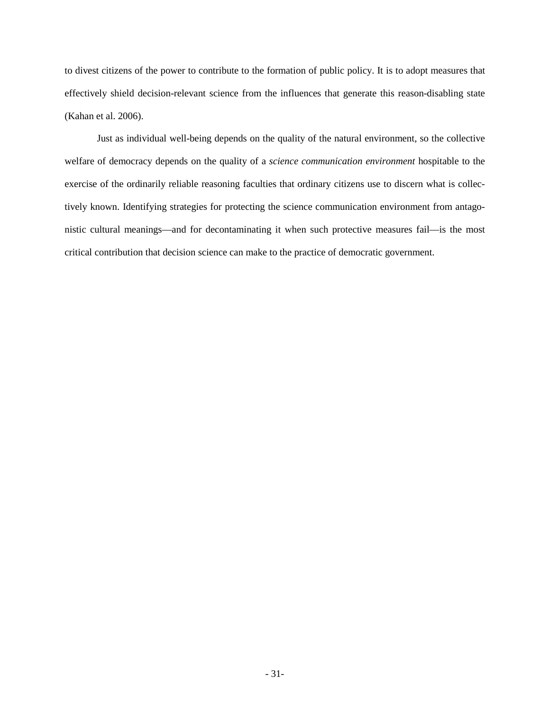to divest citizens of the power to contribute to the formation of public policy. It is to adopt measures that effectively shield decision-relevant science from the influences that generate this reason-disabling state (Kahan et al. 2006).

Just as individual well-being depends on the quality of the natural environment, so the collective welfare of democracy depends on the quality of a *science communication environment* hospitable to the exercise of the ordinarily reliable reasoning faculties that ordinary citizens use to discern what is collectively known. Identifying strategies for protecting the science communication environment from antagonistic cultural meanings—and for decontaminating it when such protective measures fail—is the most critical contribution that decision science can make to the practice of democratic government.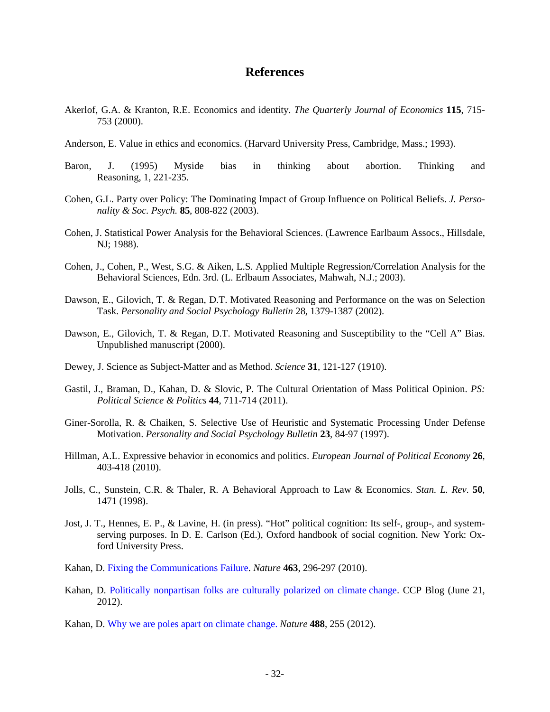# **References**

- Akerlof, G.A. & Kranton, R.E. Economics and identity. *The Quarterly Journal of Economics* **115**, 715- 753 (2000).
- Anderson, E. Value in ethics and economics. (Harvard University Press, Cambridge, Mass.; 1993).
- Baron, J. (1995) Myside bias in thinking about abortion. Thinking and Reasoning, 1, 221-235.
- Cohen, G.L. Party over Policy: The Dominating Impact of Group Influence on Political Beliefs. *J. Personality & Soc. Psych.* **85**, 808-822 (2003).
- Cohen, J. Statistical Power Analysis for the Behavioral Sciences. (Lawrence Earlbaum Assocs., Hillsdale, NJ; 1988).
- Cohen, J., Cohen, P., West, S.G. & Aiken, L.S. Applied Multiple Regression/Correlation Analysis for the Behavioral Sciences, Edn. 3rd. (L. Erlbaum Associates, Mahwah, N.J.; 2003).
- Dawson, E., Gilovich, T. & Regan, D.T. Motivated Reasoning and Performance on the was on Selection Task. *Personality and Social Psychology Bulletin* 28, 1379-1387 (2002).
- Dawson, E., Gilovich, T. & Regan, D.T. Motivated Reasoning and Susceptibility to the "Cell A" Bias. Unpublished manuscript (2000).
- Dewey, J. Science as Subject-Matter and as Method. *Science* **31**, 121-127 (1910).
- Gastil, J., Braman, D., Kahan, D. & Slovic, P. The Cultural Orientation of Mass Political Opinion. *PS: Political Science & Politics* **44**, 711-714 (2011).
- Giner-Sorolla, R. & Chaiken, S. Selective Use of Heuristic and Systematic Processing Under Defense Motivation. *Personality and Social Psychology Bulletin* **23**, 84-97 (1997).
- Hillman, A.L. Expressive behavior in economics and politics. *European Journal of Political Economy* **26**, 403-418 (2010).
- Jolls, C., Sunstein, C.R. & Thaler, R. A Behavioral Approach to Law & Economics. *Stan. L. Rev.* **50**, 1471 (1998).
- Jost, J. T., Hennes, E. P., & Lavine, H. (in press). "Hot" political cognition: Its self-, group-, and systemserving purposes. In D. E. Carlson (Ed.), Oxford handbook of social cognition. New York: Oxford University Press.
- Kahan, D[. Fixing the Communications Failure.](http://papers.ssrn.com/sol3/papers.cfm?abstract_id=1630002) *Nature* **463**, 296-297 (2010).
- Kahan, D. [Politically nonpartisan folks are culturally polarized on climate](http://www.culturalcognition.net/blog/2012/6/21/politically-nonpartisan-folks-are-culturally-polarized-on-cl.html) change. CCP Blog (June 21, 2012).
- Kahan, D[. Why we are poles apart on climate change.](http://www.nature.com/news/why-we-are-poles-apart-on-climate-change-1.11166) *Nature* **488**, 255 (2012).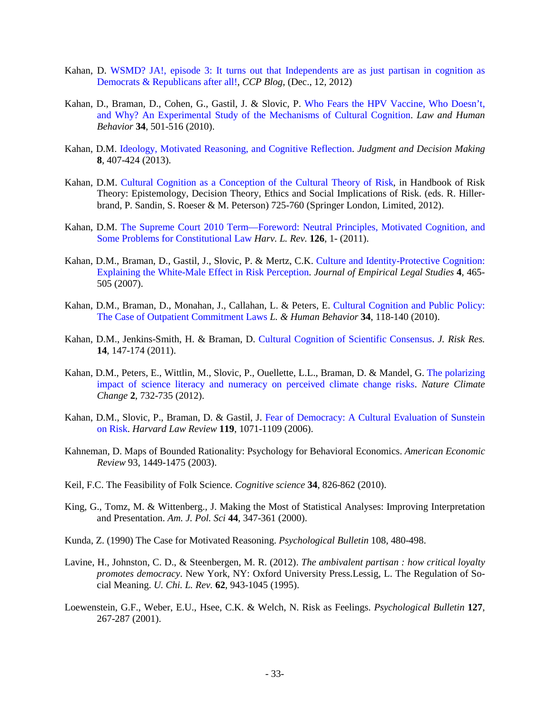- Kahan, D. WSMD? JA!, episode 3: It turns out that Independents are as just partisan in cognition as De[mocrats & Republicans after](http://www.culturalcognition.net/blog/2012/12/5/wsmd-ja-episode-3-it-turns-out-that-independents-are-as-just.html) all!, *CCP Blog*, (Dec., 12, 2012)
- Kahan, D., Braman, D., Cohen, G., Gastil, J. & Slovic, P. [Who Fears the HPV Vaccine, Who Doesn't,](http://papers.ssrn.com/sol3/papers.cfm?abstract_id=1160654)  [and Why? An Experimental Study of the Mechanisms of Cultural Cognition.](http://papers.ssrn.com/sol3/papers.cfm?abstract_id=1160654) *Law and Human Behavior* **34**, 501-516 (2010).
- Kahan, D.M. [Ideology, Motivated Reasoning, and Cognitive Reflection.](http://papers.ssrn.com/sol3/papers.cfm?abstract_id=2182588) *Judgment and Decision Making* **8**, 407-424 (2013).
- Kahan, D.M. [Cultural Cognition as a Conception of the Cultural Theory of Risk,](http://papers.ssrn.com/sol3/papers.cfm?abstract_id=1123807) in Handbook of Risk Theory: Epistemology, Decision Theory, Ethics and Social Implications of Risk. (eds. R. Hillerbrand, P. Sandin, S. Roeser & M. Peterson) 725-760 (Springer London, Limited, 2012).
- Kahan, D.M. [The Supreme Court 2010 Term—Foreword: Neutral Principles, Motivated Cognition, and](http://papers.ssrn.com/sol3/papers.cfm?abstract_id=1910391)  [Some Problems for Constitutional Law](http://papers.ssrn.com/sol3/papers.cfm?abstract_id=1910391) *Harv. L. Rev.* **126**, 1- (2011).
- Kahan, D.M., Braman, D., Gastil, J., Slovic, P. & Mertz, C.K. [Culture and Identity-Protective Cognition:](http://papers.ssrn.com/sol3/papers.cfm?abstract_id=995634)  [Explaining the White-Male Effect in Risk Perception.](http://papers.ssrn.com/sol3/papers.cfm?abstract_id=995634) *Journal of Empirical Legal Studies* **4**, 465- 505 (2007).
- Kahan, D.M., Braman, D., Monahan, J., Callahan, L. & Peters, E. [Cultural Cognition and Public Policy:](http://papers.ssrn.com/sol3/papers.cfm?abstract_id=1178362)  [The Case of Outpatient Commitment Laws](http://papers.ssrn.com/sol3/papers.cfm?abstract_id=1178362) *L. & Human Behavior* **34**, 118-140 (2010).
- Kahan, D.M., Jenkins-Smith, H. & Braman, D. [Cultural Cognition of Scientific Consensus.](http://papers.ssrn.com/sol3/papers.cfm?abstract_id=1549444) *J. Risk Res.* **14**, 147-174 (2011).
- Kahan, D.M., Peters, E., Wittlin, M., Slovic, P., Ouellette, L.L., Braman, D. & Mandel, G. [The polarizing](http://papers.ssrn.com/sol3/papers.cfm?abstract_id=2193133)  [impact of science literacy and numeracy on perceived climate change risks.](http://papers.ssrn.com/sol3/papers.cfm?abstract_id=2193133) *Nature Climate Change* **2**, 732-735 (2012).
- Kahan, D.M., Slovic, P., Braman, D. & Gastil, J. [Fear of Democracy: A Cultural Evaluation](http://papers.ssrn.com/sol3/papers.cfm?abstract_id=801964) of Sunstein [on Risk.](http://papers.ssrn.com/sol3/papers.cfm?abstract_id=801964) *Harvard Law Review* **119**, 1071-1109 (2006).
- Kahneman, D. Maps of Bounded Rationality: Psychology for Behavioral Economics. *American Economic Review* 93, 1449-1475 (2003).
- Keil, F.C. The Feasibility of Folk Science. *Cognitive science* **34**, 826-862 (2010).
- King, G., Tomz, M. & Wittenberg., J. Making the Most of Statistical Analyses: Improving Interpretation and Presentation. *Am. J. Pol. Sci* **44**, 347-361 (2000).
- Kunda, Z. (1990) The Case for Motivated Reasoning. *Psychological Bulletin* 108, 480-498.
- Lavine, H., Johnston, C. D., & Steenbergen, M. R. (2012). *The ambivalent partisan : how critical loyalty promotes democracy*. New York, NY: Oxford University Press.Lessig, L. The Regulation of Social Meaning. *U. Chi. L. Rev.* **62**, 943-1045 (1995).
- Loewenstein, G.F., Weber, E.U., Hsee, C.K. & Welch, N. Risk as Feelings. *Psychological Bulletin* **127**, 267-287 (2001).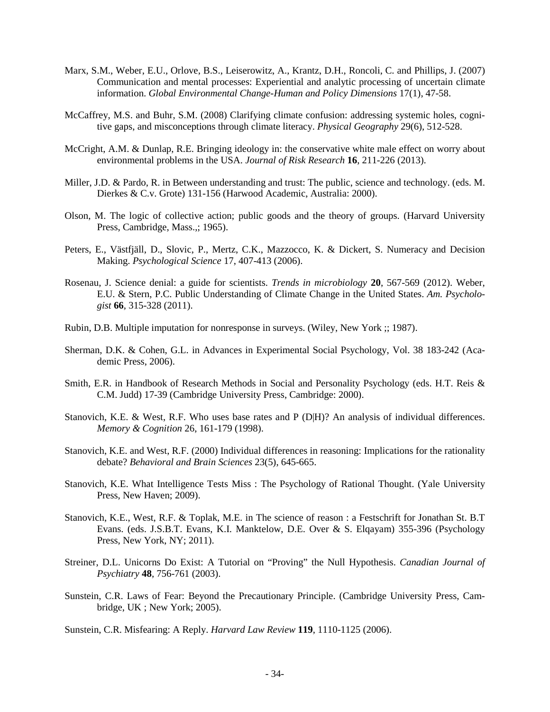- Marx, S.M., Weber, E.U., Orlove, B.S., Leiserowitz, A., Krantz, D.H., Roncoli, C. and Phillips, J. (2007) Communication and mental processes: Experiential and analytic processing of uncertain climate information. *Global Environmental Change-Human and Policy Dimensions* 17(1), 47-58.
- McCaffrey, M.S. and Buhr, S.M. (2008) Clarifying climate confusion: addressing systemic holes, cognitive gaps, and misconceptions through climate literacy. *Physical Geography* 29(6), 512-528.
- McCright, A.M. & Dunlap, R.E. Bringing ideology in: the conservative white male effect on worry about environmental problems in the USA. *Journal of Risk Research* **16**, 211-226 (2013).
- Miller, J.D. & Pardo, R. in Between understanding and trust: The public, science and technology. (eds. M. Dierkes & C.v. Grote) 131-156 (Harwood Academic, Australia: 2000).
- Olson, M. The logic of collective action; public goods and the theory of groups. (Harvard University Press, Cambridge, Mass.,; 1965).
- Peters, E., Västfjäll, D., Slovic, P., Mertz, C.K., Mazzocco, K. & Dickert, S. Numeracy and Decision Making. *Psychological Science* 17, 407-413 (2006).
- Rosenau, J. Science denial: a guide for scientists. *Trends in microbiology* **20**, 567-569 (2012). Weber, E.U. & Stern, P.C. Public Understanding of Climate Change in the United States. *Am. Psychologist* **66**, 315-328 (2011).
- Rubin, D.B. Multiple imputation for nonresponse in surveys. (Wiley, New York ;; 1987).
- Sherman, D.K. & Cohen, G.L. in Advances in Experimental Social Psychology, Vol. 38 183-242 (Academic Press, 2006).
- Smith, E.R. in Handbook of Research Methods in Social and Personality Psychology (eds. H.T. Reis & C.M. Judd) 17-39 (Cambridge University Press, Cambridge: 2000).
- Stanovich, K.E. & West, R.F. Who uses base rates and P (D|H)? An analysis of individual differences. *Memory & Cognition* 26, 161-179 (1998).
- Stanovich, K.E. and West, R.F. (2000) Individual differences in reasoning: Implications for the rationality debate? *Behavioral and Brain Sciences* 23(5), 645-665.
- Stanovich, K.E. What Intelligence Tests Miss : The Psychology of Rational Thought. (Yale University Press, New Haven; 2009).
- Stanovich, K.E., West, R.F. & Toplak, M.E. in The science of reason : a Festschrift for Jonathan St. B.T Evans. (eds. J.S.B.T. Evans, K.I. Manktelow, D.E. Over & S. Elqayam) 355-396 (Psychology Press, New York, NY; 2011).
- Streiner, D.L. Unicorns Do Exist: A Tutorial on "Proving" the Null Hypothesis. *Canadian Journal of Psychiatry* **48**, 756-761 (2003).
- Sunstein, C.R. Laws of Fear: Beyond the Precautionary Principle. (Cambridge University Press, Cambridge, UK ; New York; 2005).

Sunstein, C.R. Misfearing: A Reply. *Harvard Law Review* **119**, 1110-1125 (2006).